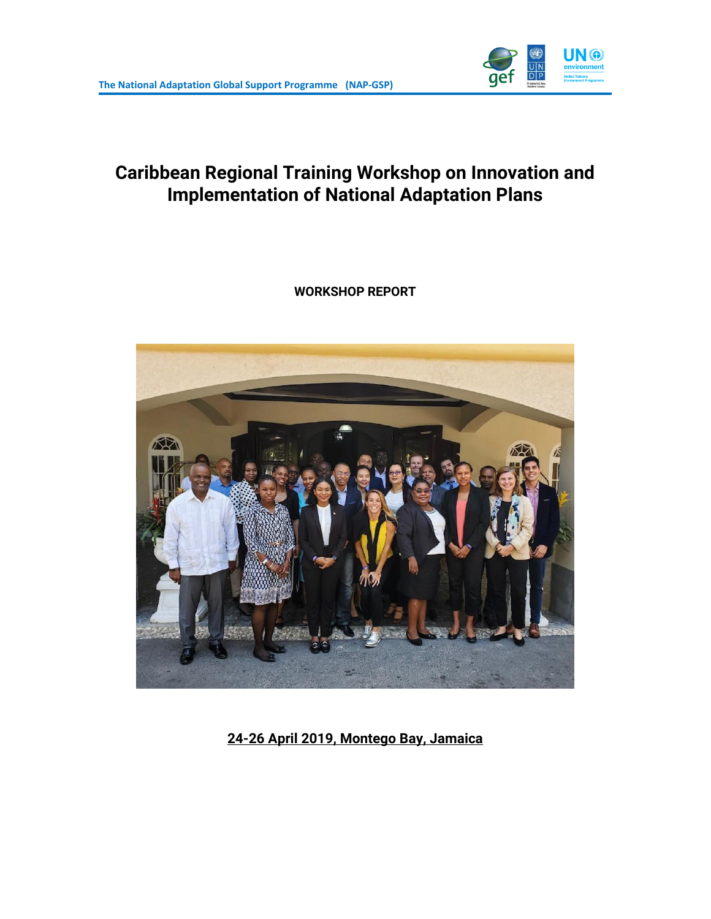

# **Caribbean Regional Training Workshop on Innovation and Implementation of National Adaptation Plans**

**WORKSHOP REPORT** 



**24-26 April 2019, Montego Bay, Jamaica**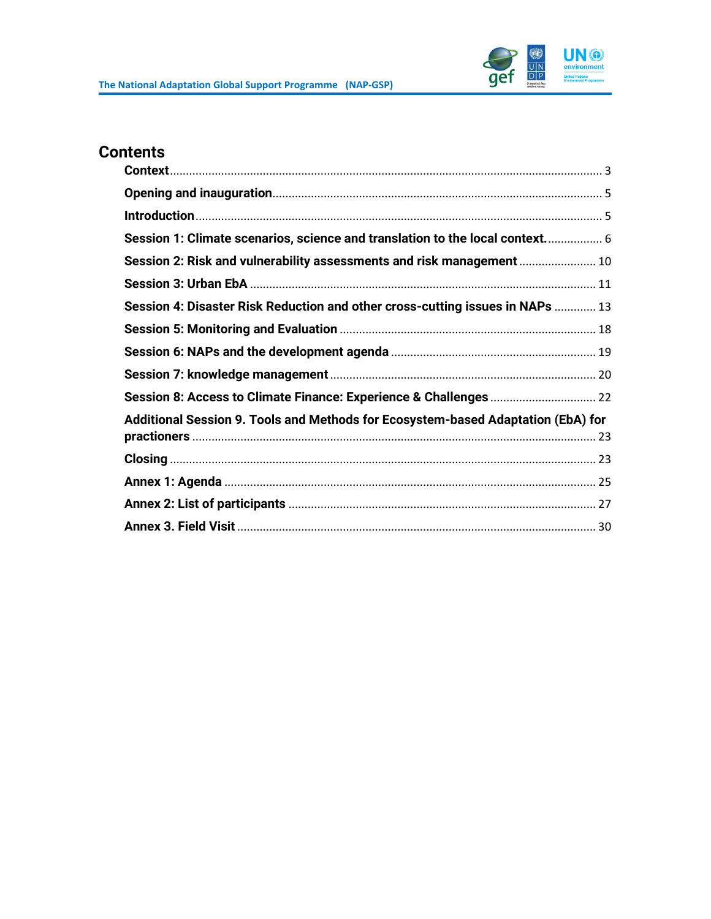

# **Contents**

| Session 1: Climate scenarios, science and translation to the local context 6     |  |
|----------------------------------------------------------------------------------|--|
| Session 2: Risk and vulnerability assessments and risk management  10            |  |
|                                                                                  |  |
| Session 4: Disaster Risk Reduction and other cross-cutting issues in NAPs  13    |  |
|                                                                                  |  |
|                                                                                  |  |
|                                                                                  |  |
|                                                                                  |  |
| Additional Session 9. Tools and Methods for Ecosystem-based Adaptation (EbA) for |  |
|                                                                                  |  |
|                                                                                  |  |
|                                                                                  |  |
|                                                                                  |  |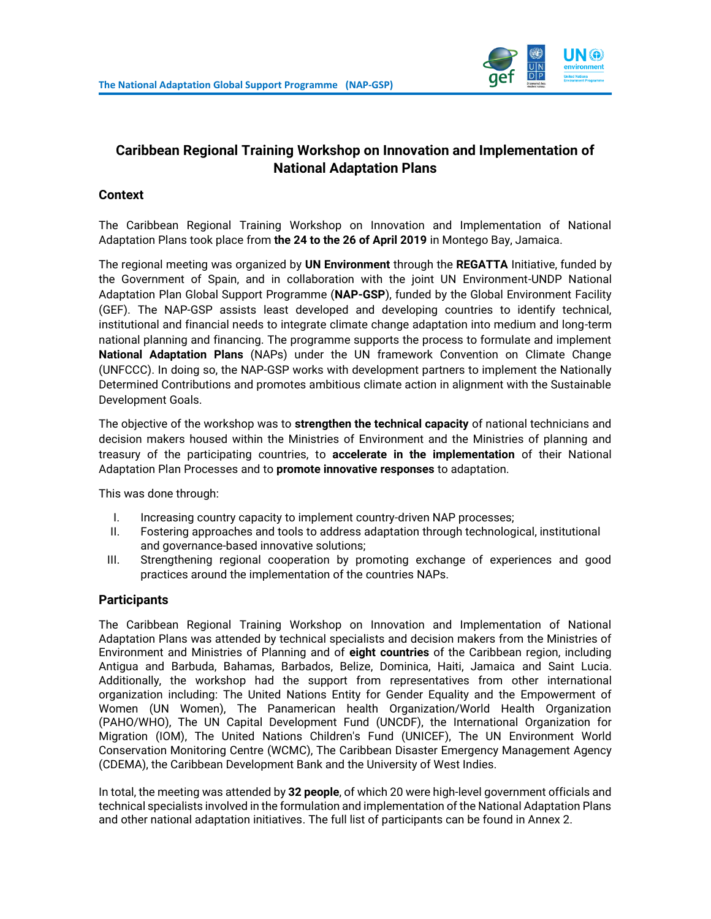

# **Caribbean Regional Training Workshop on Innovation and Implementation of National Adaptation Plans**

#### <span id="page-2-0"></span>**Context**

The Caribbean Regional Training Workshop on Innovation and Implementation of National Adaptation Plans took place from **the 24 to the 26 of April 2019** in Montego Bay, Jamaica.

The regional meeting was organized by **UN Environment** through the **REGATTA** Initiative, funded by the Government of Spain, and in collaboration with the joint UN Environment-UNDP National Adaptation Plan Global Support Programme (**NAP-GSP**), funded by the Global Environment Facility (GEF). The NAP-GSP assists least developed and developing countries to identify technical, institutional and financial needs to integrate climate change adaptation into medium and long-term national planning and financing. The programme supports the process to formulate and implement **National Adaptation Plans** (NAPs) under the UN framework Convention on Climate Change (UNFCCC). In doing so, the NAP-GSP works with development partners to implement the Nationally Determined Contributions and promotes ambitious climate action in alignment with the Sustainable Development Goals.

The objective of the workshop was to **strengthen the technical capacity** of national technicians and decision makers housed within the Ministries of Environment and the Ministries of planning and treasury of the participating countries, to **accelerate in the implementation** of their National Adaptation Plan Processes and to **promote innovative responses** to adaptation.

This was done through:

- I. Increasing country capacity to implement country-driven NAP processes;
- II. Fostering approaches and tools to address adaptation through technological, institutional and governance-based innovative solutions;
- III. Strengthening regional cooperation by promoting exchange of experiences and good practices around the implementation of the countries NAPs.

#### **Participants**

The Caribbean Regional Training Workshop on Innovation and Implementation of National Adaptation Plans was attended by technical specialists and decision makers from the Ministries of Environment and Ministries of Planning and of **eight countries** of the Caribbean region, including Antigua and Barbuda, Bahamas, Barbados, Belize, Dominica, Haiti, Jamaica and Saint Lucia. Additionally, the workshop had the support from representatives from other international organization including: The United Nations Entity for Gender Equality and the Empowerment of Women (UN Women), The Panamerican health Organization/World Health Organization (PAHO/WHO), The UN Capital Development Fund (UNCDF), the International Organization for Migration (IOM), The United Nations Children's Fund (UNICEF), The UN Environment World Conservation Monitoring Centre (WCMC), The Caribbean Disaster Emergency Management Agency (CDEMA), the Caribbean Development Bank and the University of West Indies.

In total, the meeting was attended by **32 people**, of which 20 were high-level government officials and technical specialists involved in the formulation and implementation of the National Adaptation Plans and other national adaptation initiatives. The full list of participants can be found in Annex 2.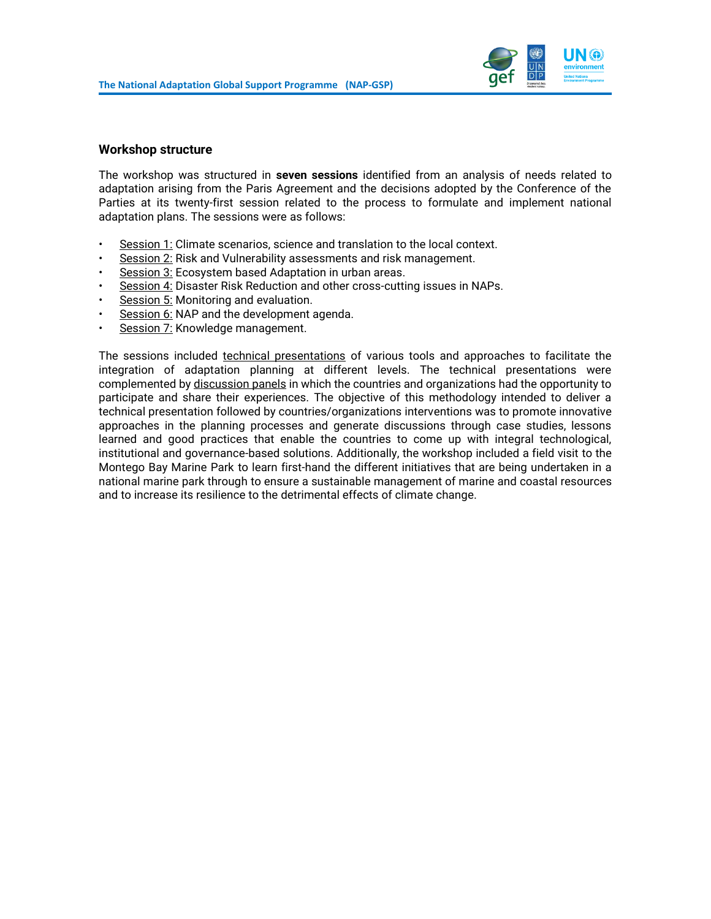

#### **Workshop structure**

The workshop was structured in **seven sessions** identified from an analysis of needs related to adaptation arising from the Paris Agreement and the decisions adopted by the Conference of the Parties at its twenty-first session related to the process to formulate and implement national adaptation plans. The sessions were as follows:

- Session 1: Climate scenarios, science and translation to the local context.
- Session 2: Risk and Vulnerability assessments and risk management.
- Session 3: Ecosystem based Adaptation in urban areas.
- Session 4: Disaster Risk Reduction and other cross-cutting issues in NAPs.
- Session 5: Monitoring and evaluation.
- Session 6: NAP and the development agenda.
- Session 7: Knowledge management.

The sessions included technical presentations of various tools and approaches to facilitate the integration of adaptation planning at different levels. The technical presentations were complemented by discussion panels in which the countries and organizations had the opportunity to participate and share their experiences. The objective of this methodology intended to deliver a technical presentation followed by countries/organizations interventions was to promote innovative approaches in the planning processes and generate discussions through case studies, lessons learned and good practices that enable the countries to come up with integral technological, institutional and governance-based solutions. Additionally, the workshop included a field visit to the Montego Bay Marine Park to learn first-hand the different initiatives that are being undertaken in a national marine park through to ensure a sustainable management of marine and coastal resources and to increase its resilience to the detrimental effects of climate change.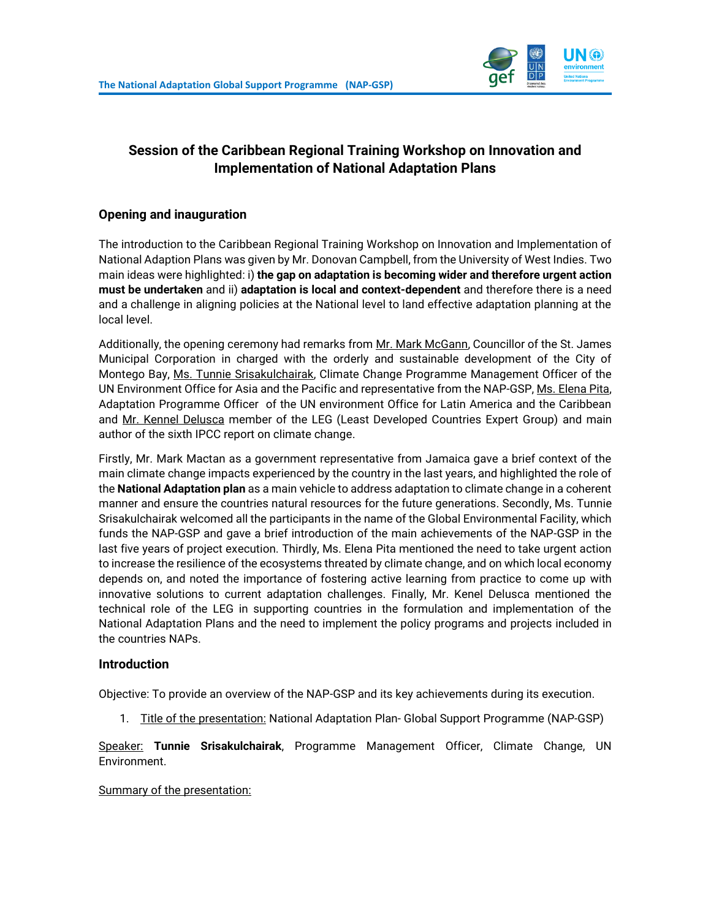

# **Session of the Caribbean Regional Training Workshop on Innovation and Implementation of National Adaptation Plans**

### <span id="page-4-0"></span>**Opening and inauguration**

The introduction to the Caribbean Regional Training Workshop on Innovation and Implementation of National Adaption Plans was given by Mr. Donovan Campbell, from the University of West Indies. Two main ideas were highlighted: i) **the gap on adaptation is becoming wider and therefore urgent action must be undertaken** and ii) **adaptation is local and context-dependent** and therefore there is a need and a challenge in aligning policies at the National level to land effective adaptation planning at the local level.

Additionally, the opening ceremony had remarks from Mr. Mark McGann, Councillor of the St. James Municipal Corporation in charged with the orderly and sustainable development of the City of Montego Bay, Ms. Tunnie Srisakulchairak, Climate Change Programme Management Officer of the UN Environment Office for Asia and the Pacific and representative from the NAP-GSP, Ms. Elena Pita, Adaptation Programme Officer of the UN environment Office for Latin America and the Caribbean and Mr. Kennel Delusca member of the LEG (Least Developed Countries Expert Group) and main author of the sixth IPCC report on climate change.

Firstly, Mr. Mark Mactan as a government representative from Jamaica gave a brief context of the main climate change impacts experienced by the country in the last years, and highlighted the role of the **National Adaptation plan** as a main vehicle to address adaptation to climate change in a coherent manner and ensure the countries natural resources for the future generations. Secondly, Ms. Tunnie Srisakulchairak welcomed all the participants in the name of the Global Environmental Facility, which funds the NAP-GSP and gave a brief introduction of the main achievements of the NAP-GSP in the last five years of project execution. Thirdly, Ms. Elena Pita mentioned the need to take urgent action to increase the resilience of the ecosystems threated by climate change, and on which local economy depends on, and noted the importance of fostering active learning from practice to come up with innovative solutions to current adaptation challenges. Finally, Mr. Kenel Delusca mentioned the technical role of the LEG in supporting countries in the formulation and implementation of the National Adaptation Plans and the need to implement the policy programs and projects included in the countries NAPs.

#### <span id="page-4-1"></span>**Introduction**

Objective: To provide an overview of the NAP-GSP and its key achievements during its execution.

1. Title of the presentation: National Adaptation Plan- Global Support Programme (NAP-GSP)

Speaker: **Tunnie Srisakulchairak**, Programme Management Officer, Climate Change, UN Environment.

#### Summary of the presentation: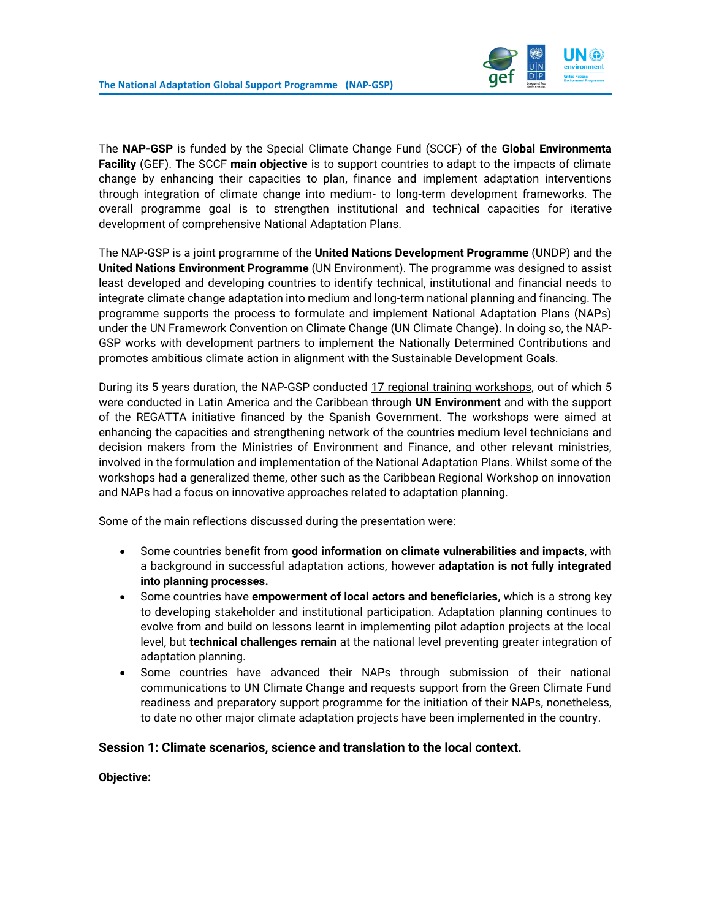

The **NAP-GSP** is funded by the Special Climate Change Fund (SCCF) of the **Global Environmenta Facility** (GEF). The SCCF **main objective** is to support countries to adapt to the impacts of climate change by enhancing their capacities to plan, finance and implement adaptation interventions through integration of climate change into medium- to long-term development frameworks. The overall programme goal is to strengthen institutional and technical capacities for iterative development of comprehensive National Adaptation Plans.

The NAP-GSP is a joint programme of the **United Nations Development Programme** (UNDP) and the **United Nations Environment Programme** (UN Environment). The programme was designed to assist least developed and developing countries to identify technical, institutional and financial needs to integrate climate change adaptation into medium and long-term national planning and financing. The programme supports the process to formulate and implement National Adaptation Plans (NAPs) under the UN Framework Convention on Climate Change (UN Climate Change). In doing so, the NAP-GSP works with development partners to implement the Nationally Determined Contributions and promotes ambitious climate action in alignment with the Sustainable Development Goals.

During its 5 years duration, the NAP-GSP conducted 17 regional training workshops, out of which 5 were conducted in Latin America and the Caribbean through **UN Environment** and with the support of the REGATTA initiative financed by the Spanish Government. The workshops were aimed at enhancing the capacities and strengthening network of the countries medium level technicians and decision makers from the Ministries of Environment and Finance, and other relevant ministries, involved in the formulation and implementation of the National Adaptation Plans. Whilst some of the workshops had a generalized theme, other such as the Caribbean Regional Workshop on innovation and NAPs had a focus on innovative approaches related to adaptation planning.

Some of the main reflections discussed during the presentation were:

- Some countries benefit from **good information on climate vulnerabilities and impacts**, with a background in successful adaptation actions, however **adaptation is not fully integrated into planning processes.**
- Some countries have **empowerment of local actors and beneficiaries**, which is a strong key to developing stakeholder and institutional participation. Adaptation planning continues to evolve from and build on lessons learnt in implementing pilot adaption projects at the local level, but **technical challenges remain** at the national level preventing greater integration of adaptation planning.
- Some countries have advanced their NAPs through submission of their national communications to UN Climate Change and requests support from the Green Climate Fund readiness and preparatory support programme for the initiation of their NAPs, nonetheless, to date no other major climate adaptation projects have been implemented in the country.

#### <span id="page-5-0"></span>**Session 1: Climate scenarios, science and translation to the local context.**

**Objective:**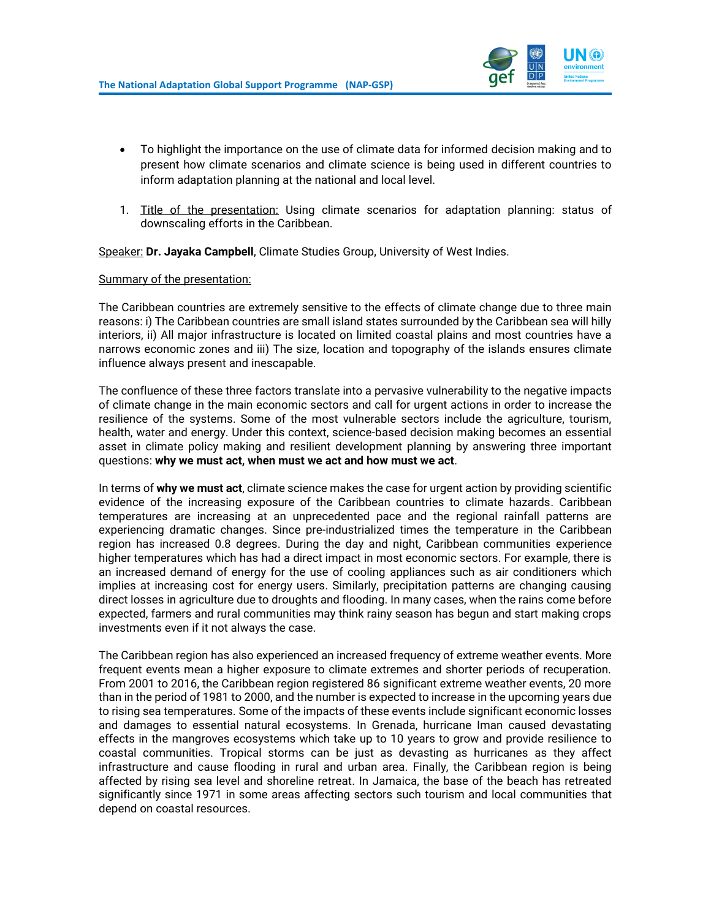

- To highlight the importance on the use of climate data for informed decision making and to present how climate scenarios and climate science is being used in different countries to inform adaptation planning at the national and local level.
- 1. Title of the presentation: Using climate scenarios for adaptation planning: status of downscaling efforts in the Caribbean.

Speaker: **Dr. Jayaka Campbell**, Climate Studies Group, University of West Indies.

#### Summary of the presentation:

The Caribbean countries are extremely sensitive to the effects of climate change due to three main reasons: i) The Caribbean countries are small island states surrounded by the Caribbean sea will hilly interiors, ii) All major infrastructure is located on limited coastal plains and most countries have a narrows economic zones and iii) The size, location and topography of the islands ensures climate influence always present and inescapable.

The confluence of these three factors translate into a pervasive vulnerability to the negative impacts of climate change in the main economic sectors and call for urgent actions in order to increase the resilience of the systems. Some of the most vulnerable sectors include the agriculture, tourism, health, water and energy. Under this context, science-based decision making becomes an essential asset in climate policy making and resilient development planning by answering three important questions: **why we must act, when must we act and how must we act**.

In terms of **why we must act**, climate science makes the case for urgent action by providing scientific evidence of the increasing exposure of the Caribbean countries to climate hazards. Caribbean temperatures are increasing at an unprecedented pace and the regional rainfall patterns are experiencing dramatic changes. Since pre-industrialized times the temperature in the Caribbean region has increased 0.8 degrees. During the day and night, Caribbean communities experience higher temperatures which has had a direct impact in most economic sectors. For example, there is an increased demand of energy for the use of cooling appliances such as air conditioners which implies at increasing cost for energy users. Similarly, precipitation patterns are changing causing direct losses in agriculture due to droughts and flooding. In many cases, when the rains come before expected, farmers and rural communities may think rainy season has begun and start making crops investments even if it not always the case.

The Caribbean region has also experienced an increased frequency of extreme weather events. More frequent events mean a higher exposure to climate extremes and shorter periods of recuperation. From 2001 to 2016, the Caribbean region registered 86 significant extreme weather events, 20 more than in the period of 1981 to 2000, and the number is expected to increase in the upcoming years due to rising sea temperatures. Some of the impacts of these events include significant economic losses and damages to essential natural ecosystems. In Grenada, hurricane Iman caused devastating effects in the mangroves ecosystems which take up to 10 years to grow and provide resilience to coastal communities. Tropical storms can be just as devasting as hurricanes as they affect infrastructure and cause flooding in rural and urban area. Finally, the Caribbean region is being affected by rising sea level and shoreline retreat. In Jamaica, the base of the beach has retreated significantly since 1971 in some areas affecting sectors such tourism and local communities that depend on coastal resources.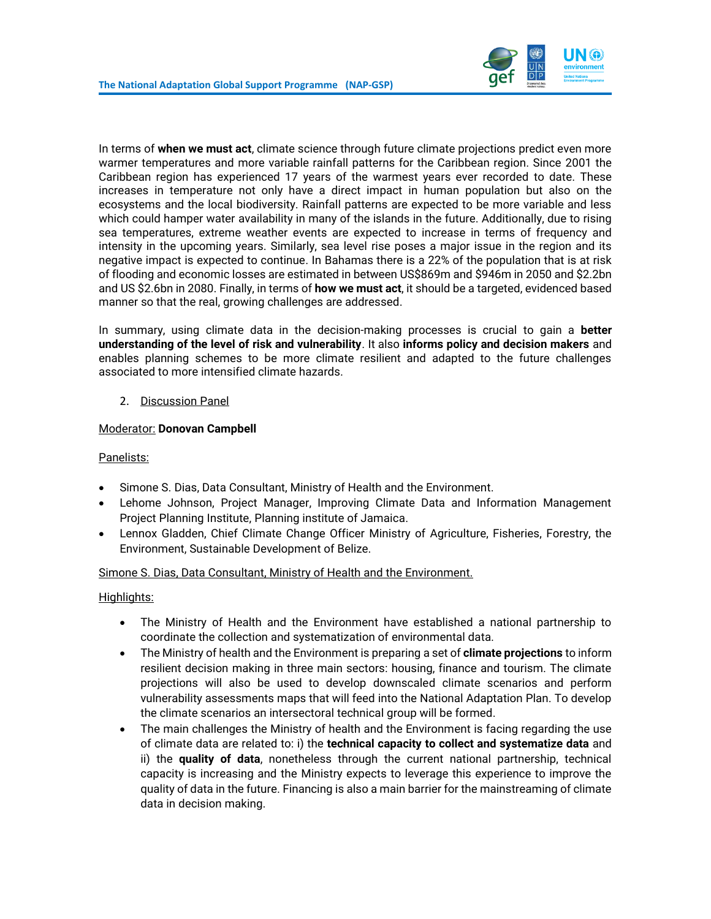

In terms of **when we must act**, climate science through future climate projections predict even more warmer temperatures and more variable rainfall patterns for the Caribbean region. Since 2001 the Caribbean region has experienced 17 years of the warmest years ever recorded to date. These increases in temperature not only have a direct impact in human population but also on the ecosystems and the local biodiversity. Rainfall patterns are expected to be more variable and less which could hamper water availability in many of the islands in the future. Additionally, due to rising sea temperatures, extreme weather events are expected to increase in terms of frequency and intensity in the upcoming years. Similarly, sea level rise poses a major issue in the region and its negative impact is expected to continue. In Bahamas there is a 22% of the population that is at risk of flooding and economic losses are estimated in between US\$869m and \$946m in 2050 and \$2.2bn and US \$2.6bn in 2080. Finally, in terms of **how we must act**, it should be a targeted, evidenced based manner so that the real, growing challenges are addressed.

In summary, using climate data in the decision-making processes is crucial to gain a **better understanding of the level of risk and vulnerability**. It also **informs policy and decision makers** and enables planning schemes to be more climate resilient and adapted to the future challenges associated to more intensified climate hazards.

#### 2. Discussion Panel

#### Moderator: **Donovan Campbell**

#### Panelists:

- Simone S. Dias, Data Consultant, Ministry of Health and the Environment.
- Lehome Johnson, Project Manager, Improving Climate Data and Information Management Project Planning Institute, Planning institute of Jamaica.
- Lennox Gladden, Chief Climate Change Officer Ministry of Agriculture, Fisheries, Forestry, the Environment, Sustainable Development of Belize.

#### Simone S. Dias, Data Consultant, Ministry of Health and the Environment.

#### Highlights:

- The Ministry of Health and the Environment have established a national partnership to coordinate the collection and systematization of environmental data.
- The Ministry of health and the Environment is preparing a set of **climate projections** to inform resilient decision making in three main sectors: housing, finance and tourism. The climate projections will also be used to develop downscaled climate scenarios and perform vulnerability assessments maps that will feed into the National Adaptation Plan. To develop the climate scenarios an intersectoral technical group will be formed.
- The main challenges the Ministry of health and the Environment is facing regarding the use of climate data are related to: i) the **technical capacity to collect and systematize data** and ii) the **quality of data**, nonetheless through the current national partnership, technical capacity is increasing and the Ministry expects to leverage this experience to improve the quality of data in the future. Financing is also a main barrier for the mainstreaming of climate data in decision making.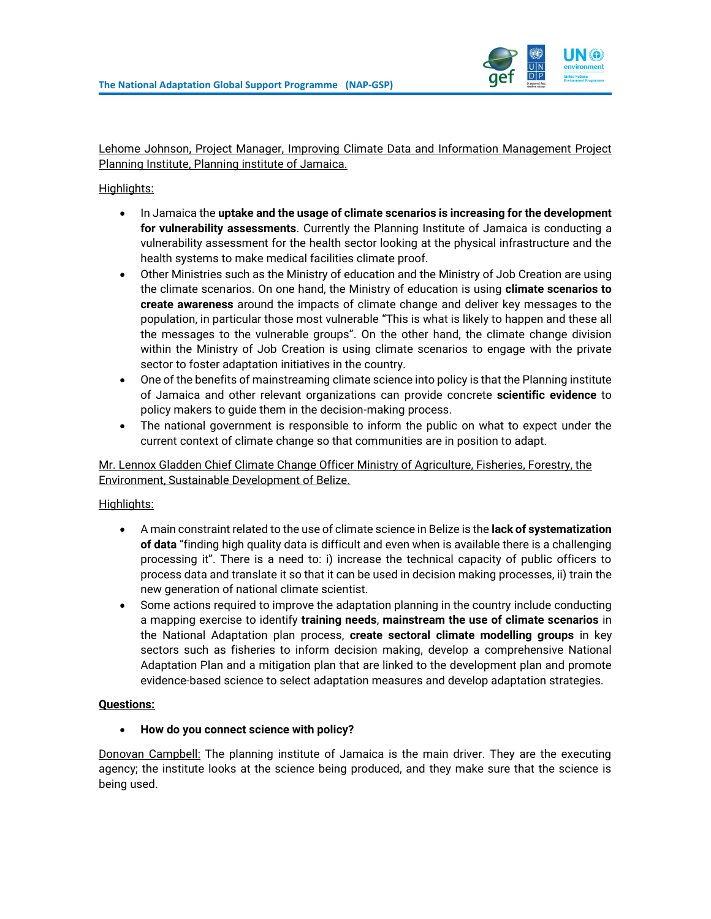

Lehome Johnson, Project Manager, Improving Climate Data and Information Management Project Planning Institute, Planning institute of Jamaica.

### Highlights:

- In Jamaica the **uptake and the usage of climate scenarios is increasing for the development for vulnerability assessments**. Currently the Planning Institute of Jamaica is conducting a vulnerability assessment for the health sector looking at the physical infrastructure and the health systems to make medical facilities climate proof.
- Other Ministries such as the Ministry of education and the Ministry of Job Creation are using the climate scenarios. On one hand, the Ministry of education is using **climate scenarios to create awareness** around the impacts of climate change and deliver key messages to the population, in particular those most vulnerable "This is what is likely to happen and these all the messages to the vulnerable groups". On the other hand, the climate change division within the Ministry of Job Creation is using climate scenarios to engage with the private sector to foster adaptation initiatives in the country.
- One of the benefits of mainstreaming climate science into policy is that the Planning institute of Jamaica and other relevant organizations can provide concrete **scientific evidence** to policy makers to guide them in the decision-making process.
- The national government is responsible to inform the public on what to expect under the current context of climate change so that communities are in position to adapt.

#### Mr. Lennox Gladden Chief Climate Change Officer Ministry of Agriculture, Fisheries, Forestry, the Environment, Sustainable Development of Belize.

#### Highlights:

- A main constraint related to the use of climate science in Belize is the **lack of systematization of data** "finding high quality data is difficult and even when is available there is a challenging processing it". There is a need to: i) increase the technical capacity of public officers to process data and translate it so that it can be used in decision making processes, ii) train the new generation of national climate scientist.
- Some actions required to improve the adaptation planning in the country include conducting a mapping exercise to identify **training needs**, **mainstream the use of climate scenarios** in the National Adaptation plan process, **create sectoral climate modelling groups** in key sectors such as fisheries to inform decision making, develop a comprehensive National Adaptation Plan and a mitigation plan that are linked to the development plan and promote evidence-based science to select adaptation measures and develop adaptation strategies.

#### **Questions:**

#### • **How do you connect science with policy?**

Donovan Campbell: The planning institute of Jamaica is the main driver. They are the executing agency; the institute looks at the science being produced, and they make sure that the science is being used.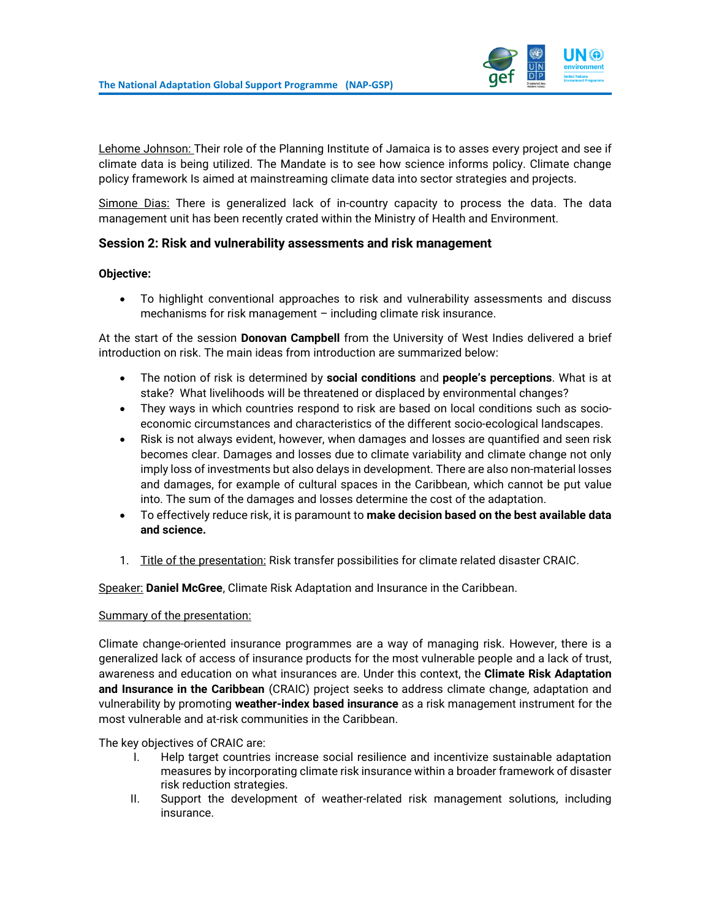

Lehome Johnson: Their role of the Planning Institute of Jamaica is to asses every project and see if climate data is being utilized. The Mandate is to see how science informs policy. Climate change policy framework Is aimed at mainstreaming climate data into sector strategies and projects.

Simone Dias: There is generalized lack of in-country capacity to process the data. The data management unit has been recently crated within the Ministry of Health and Environment.

## <span id="page-9-0"></span>**Session 2: Risk and vulnerability assessments and risk management**

#### **Objective:**

• To highlight conventional approaches to risk and vulnerability assessments and discuss mechanisms for risk management – including climate risk insurance.

At the start of the session **Donovan Campbell** from the University of West Indies delivered a brief introduction on risk. The main ideas from introduction are summarized below:

- The notion of risk is determined by **social conditions** and **people's perceptions**. What is at stake? What livelihoods will be threatened or displaced by environmental changes?
- They ways in which countries respond to risk are based on local conditions such as socioeconomic circumstances and characteristics of the different socio-ecological landscapes.
- Risk is not always evident, however, when damages and losses are quantified and seen risk becomes clear. Damages and losses due to climate variability and climate change not only imply loss of investments but also delays in development. There are also non-material losses and damages, for example of cultural spaces in the Caribbean, which cannot be put value into. The sum of the damages and losses determine the cost of the adaptation.
- To effectively reduce risk, it is paramount to **make decision based on the best available data and science.**
- 1. Title of the presentation: Risk transfer possibilities for climate related disaster CRAIC.

Speaker: **Daniel McGree**, Climate Risk Adaptation and Insurance in the Caribbean.

#### Summary of the presentation:

Climate change-oriented insurance programmes are a way of managing risk. However, there is a generalized lack of access of insurance products for the most vulnerable people and a lack of trust, awareness and education on what insurances are. Under this context, the **Climate Risk Adaptation and Insurance in the Caribbean** (CRAIC) project seeks to address climate change, adaptation and vulnerability by promoting **weather-index based insurance** as a risk management instrument for the most vulnerable and at-risk communities in the Caribbean.

The key objectives of CRAIC are:

- I. Help target countries increase social resilience and incentivize sustainable adaptation measures by incorporating climate risk insurance within a broader framework of disaster risk reduction strategies.
- II. Support the development of weather-related risk management solutions, including insurance.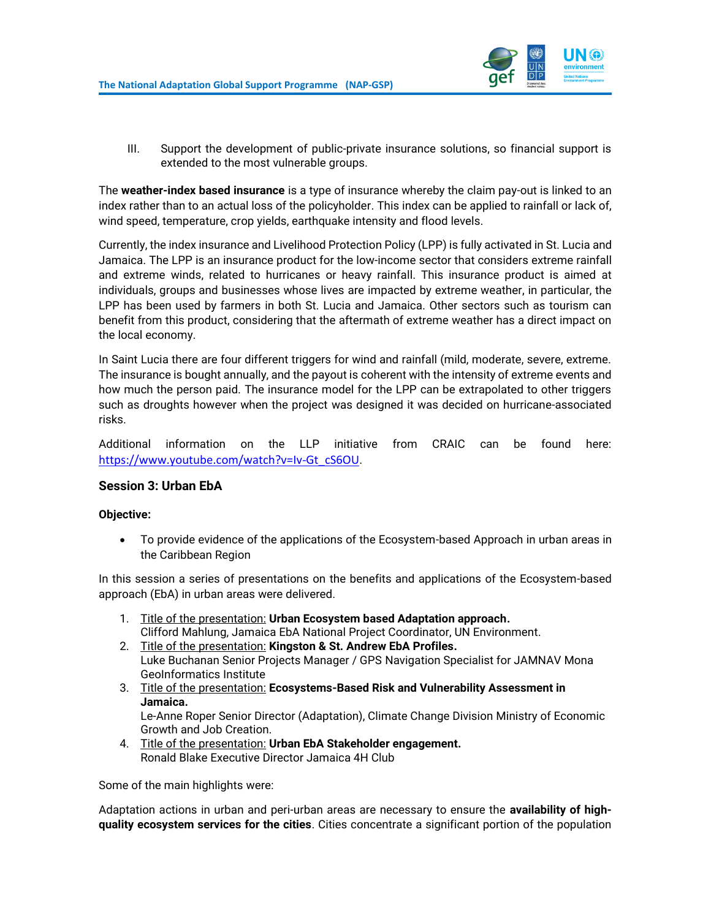

III. Support the development of public-private insurance solutions, so financial support is extended to the most vulnerable groups.

The **weather-index based insurance** is a type of insurance whereby the claim pay-out is linked to an index rather than to an actual loss of the policyholder. This index can be applied to rainfall or lack of, wind speed, temperature, crop yields, earthquake intensity and flood levels.

Currently, the index insurance and Livelihood Protection Policy (LPP) is fully activated in St. Lucia and Jamaica. The LPP is an insurance product for the low-income sector that considers extreme rainfall and extreme winds, related to hurricanes or heavy rainfall. This insurance product is aimed at individuals, groups and businesses whose lives are impacted by extreme weather, in particular, the LPP has been used by farmers in both St. Lucia and Jamaica. Other sectors such as tourism can benefit from this product, considering that the aftermath of extreme weather has a direct impact on the local economy.

In Saint Lucia there are four different triggers for wind and rainfall (mild, moderate, severe, extreme. The insurance is bought annually, and the payout is coherent with the intensity of extreme events and how much the person paid. The insurance model for the LPP can be extrapolated to other triggers such as droughts however when the project was designed it was decided on hurricane-associated risks.

Additional information on the LLP initiative from CRAIC can be found here: [https://www.youtube.com/watch?v=Iv-Gt\\_cS6OU](https://www.youtube.com/watch?v=Iv-Gt_cS6OU).

#### <span id="page-10-0"></span>**Session 3: Urban EbA**

#### **Objective:**

• To provide evidence of the applications of the Ecosystem-based Approach in urban areas in the Caribbean Region

In this session a series of presentations on the benefits and applications of the Ecosystem-based approach (EbA) in urban areas were delivered.

- 1. Title of the presentation: **Urban Ecosystem based Adaptation approach.** Clifford Mahlung, Jamaica EbA National Project Coordinator, UN Environment.
- 2. Title of the presentation: **Kingston & St. Andrew EbA Profiles.** Luke Buchanan Senior Projects Manager / GPS Navigation Specialist for JAMNAV Mona GeoInformatics Institute
- 3. Title of the presentation: **Ecosystems-Based Risk and Vulnerability Assessment in Jamaica.**

Le-Anne Roper Senior Director (Adaptation), Climate Change Division Ministry of Economic Growth and Job Creation.

4. Title of the presentation: **Urban EbA Stakeholder engagement.** Ronald Blake Executive Director Jamaica 4H Club

Some of the main highlights were:

Adaptation actions in urban and peri-urban areas are necessary to ensure the **availability of highquality ecosystem services for the cities**. Cities concentrate a significant portion of the population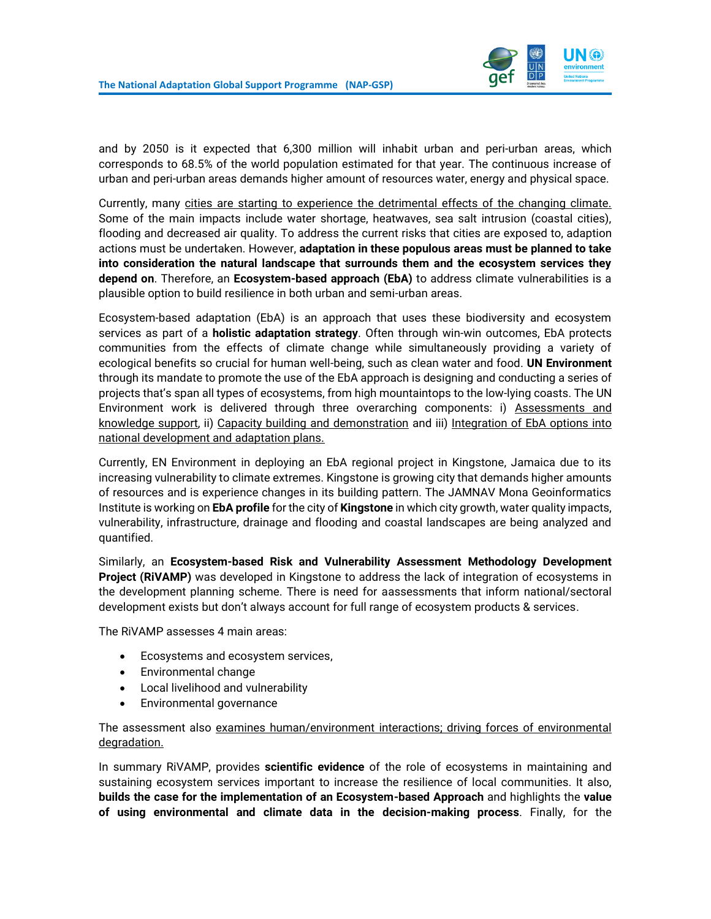

and by 2050 is it expected that 6,300 million will inhabit urban and peri-urban areas, which corresponds to 68.5% of the world population estimated for that year. The continuous increase of urban and peri-urban areas demands higher amount of resources water, energy and physical space.

Currently, many cities are starting to experience the detrimental effects of the changing climate. Some of the main impacts include water shortage, heatwaves, sea salt intrusion (coastal cities), flooding and decreased air quality. To address the current risks that cities are exposed to, adaption actions must be undertaken. However, **adaptation in these populous areas must be planned to take into consideration the natural landscape that surrounds them and the ecosystem services they depend on**. Therefore, an **Ecosystem-based approach (EbA)** to address climate vulnerabilities is a plausible option to build resilience in both urban and semi-urban areas.

Ecosystem-based adaptation (EbA) is an approach that uses these biodiversity and ecosystem services as part of a **holistic adaptation strategy**. Often through win-win outcomes, EbA protects communities from the effects of climate change while simultaneously providing a variety of ecological benefits so crucial for human well-being, such as clean water and food. **UN Environment** through its mandate to promote the use of the EbA approach is designing and conducting a series of projects that's span all types of ecosystems, from high mountaintops to the low-lying coasts. The UN Environment work is delivered through three overarching components: i) Assessments and knowledge support, ii) Capacity building and demonstration and iii) Integration of EbA options into national development and adaptation plans.

Currently, EN Environment in deploying an EbA regional project in Kingstone, Jamaica due to its increasing vulnerability to climate extremes. Kingstone is growing city that demands higher amounts of resources and is experience changes in its building pattern. The JAMNAV Mona Geoinformatics Institute is working on **EbA profile** for the city of **Kingstone** in which city growth, water quality impacts, vulnerability, infrastructure, drainage and flooding and coastal landscapes are being analyzed and quantified.

Similarly, an **Ecosystem-based Risk and Vulnerability Assessment Methodology Development Project (RiVAMP)** was developed in Kingstone to address the lack of integration of ecosystems in the development planning scheme. There is need for aassessments that inform national/sectoral development exists but don't always account for full range of ecosystem products & services.

The RiVAMP assesses 4 main areas:

- Ecosystems and ecosystem services,
- Environmental change
- Local livelihood and vulnerability
- Environmental governance

The assessment also examines human/environment interactions; driving forces of environmental degradation.

In summary RiVAMP, provides **scientific evidence** of the role of ecosystems in maintaining and sustaining ecosystem services important to increase the resilience of local communities. It also, **builds the case for the implementation of an Ecosystem-based Approach** and highlights the **value of using environmental and climate data in the decision-making process**. Finally, for the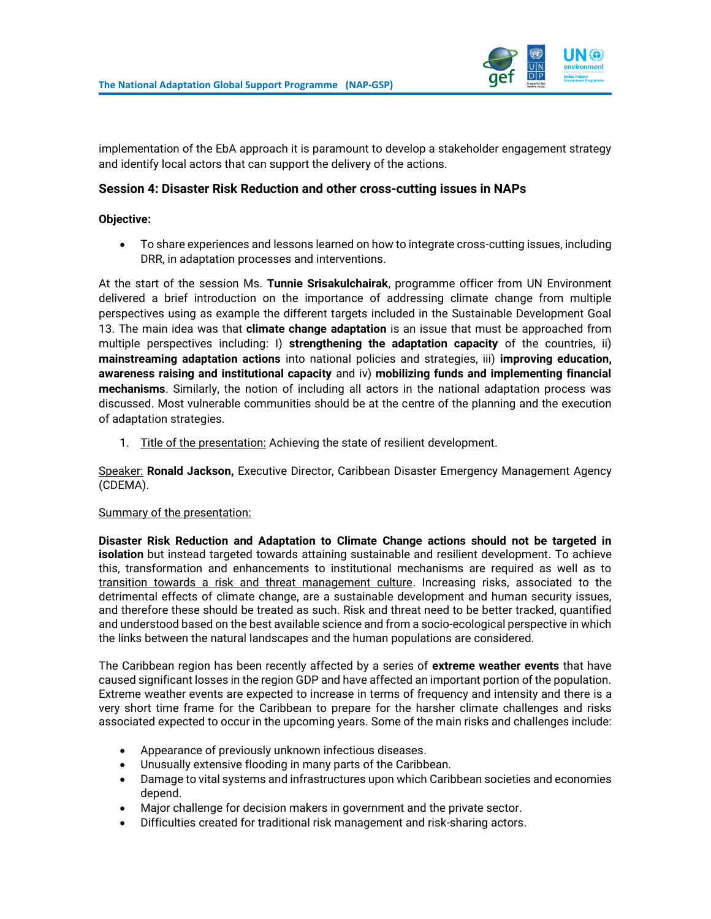

implementation of the EbA approach it is paramount to develop a stakeholder engagement strategy and identify local actors that can support the delivery of the actions.

#### <span id="page-12-0"></span>**Session 4: Disaster Risk Reduction and other cross-cutting issues in NAPs**

#### **Objective:**

• To share experiences and lessons learned on how to integrate cross-cutting issues, including DRR, in adaptation processes and interventions.

At the start of the session Ms. **Tunnie Srisakulchairak**, programme officer from UN Environment delivered a brief introduction on the importance of addressing climate change from multiple perspectives using as example the different targets included in the Sustainable Development Goal 13. The main idea was that **climate change adaptation** is an issue that must be approached from multiple perspectives including: I) **strengthening the adaptation capacity** of the countries, ii) **mainstreaming adaptation actions** into national policies and strategies, iii) **improving education, awareness raising and institutional capacity** and iv) **mobilizing funds and implementing financial mechanisms**. Similarly, the notion of including all actors in the national adaptation process was discussed. Most vulnerable communities should be at the centre of the planning and the execution of adaptation strategies.

1. Title of the presentation: Achieving the state of resilient development.

Speaker: **Ronald Jackson,** Executive Director, Caribbean Disaster Emergency Management Agency (CDEMA).

#### Summary of the presentation:

**Disaster Risk Reduction and Adaptation to Climate Change actions should not be targeted in isolation** but instead targeted towards attaining sustainable and resilient development. To achieve this, transformation and enhancements to institutional mechanisms are required as well as to transition towards a risk and threat management culture. Increasing risks, associated to the detrimental effects of climate change, are a sustainable development and human security issues, and therefore these should be treated as such. Risk and threat need to be better tracked, quantified and understood based on the best available science and from a socio-ecological perspective in which the links between the natural landscapes and the human populations are considered.

The Caribbean region has been recently affected by a series of **extreme weather events** that have caused significant losses in the region GDP and have affected an important portion of the population. Extreme weather events are expected to increase in terms of frequency and intensity and there is a very short time frame for the Caribbean to prepare for the harsher climate challenges and risks associated expected to occur in the upcoming years. Some of the main risks and challenges include:

- Appearance of previously unknown infectious diseases.
- Unusually extensive flooding in many parts of the Caribbean.
- Damage to vital systems and infrastructures upon which Caribbean societies and economies depend.
- Major challenge for decision makers in government and the private sector.
- Difficulties created for traditional risk management and risk-sharing actors.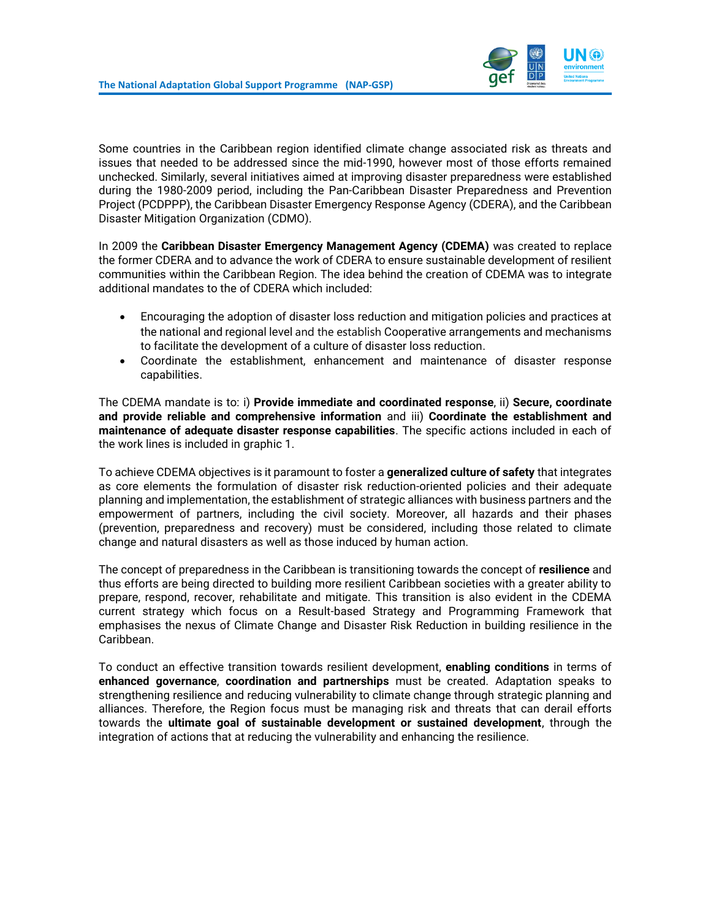

Some countries in the Caribbean region identified climate change associated risk as threats and issues that needed to be addressed since the mid-1990, however most of those efforts remained unchecked. Similarly, several initiatives aimed at improving disaster preparedness were established during the 1980-2009 period, including the Pan-Caribbean Disaster Preparedness and Prevention Project (PCDPPP), the Caribbean Disaster Emergency Response Agency (CDERA), and the Caribbean Disaster Mitigation Organization (CDMO).

In 2009 the **Caribbean Disaster Emergency Management Agency (CDEMA)** was created to replace the former CDERA and to advance the work of CDERA to ensure sustainable development of resilient communities within the Caribbean Region. The idea behind the creation of CDEMA was to integrate additional mandates to the of CDERA which included:

- Encouraging the adoption of disaster loss reduction and mitigation policies and practices at the national and regional level and the establish Cooperative arrangements and mechanisms to facilitate the development of a culture of disaster loss reduction.
- Coordinate the establishment, enhancement and maintenance of disaster response capabilities.

The CDEMA mandate is to: i) **Provide immediate and coordinated response**, ii) **Secure, coordinate and provide reliable and comprehensive information** and iii) **Coordinate the establishment and maintenance of adequate disaster response capabilities**. The specific actions included in each of the work lines is included in graphic 1.

To achieve CDEMA objectives is it paramount to foster a **generalized culture of safety** that integrates as core elements the formulation of disaster risk reduction-oriented policies and their adequate planning and implementation, the establishment of strategic alliances with business partners and the empowerment of partners, including the civil society. Moreover, all hazards and their phases (prevention, preparedness and recovery) must be considered, including those related to climate change and natural disasters as well as those induced by human action.

The concept of preparedness in the Caribbean is transitioning towards the concept of **resilience** and thus efforts are being directed to building more resilient Caribbean societies with a greater ability to prepare, respond, recover, rehabilitate and mitigate. This transition is also evident in the CDEMA current strategy which focus on a Result-based Strategy and Programming Framework that emphasises the nexus of Climate Change and Disaster Risk Reduction in building resilience in the Caribbean.

To conduct an effective transition towards resilient development, **enabling conditions** in terms of **enhanced governance**, **coordination and partnerships** must be created. Adaptation speaks to strengthening resilience and reducing vulnerability to climate change through strategic planning and alliances. Therefore, the Region focus must be managing risk and threats that can derail efforts towards the **ultimate goal of sustainable development or sustained development**, through the integration of actions that at reducing the vulnerability and enhancing the resilience.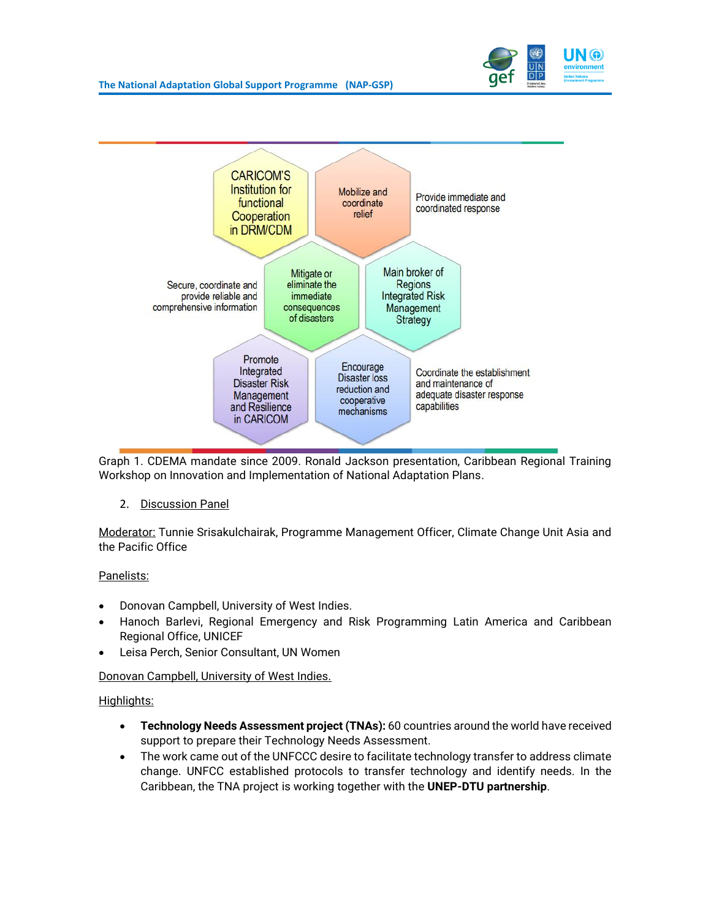



Graph 1. CDEMA mandate since 2009. Ronald Jackson presentation, Caribbean Regional Training Workshop on Innovation and Implementation of National Adaptation Plans.

2. Discussion Panel

Moderator: Tunnie Srisakulchairak, Programme Management Officer, Climate Change Unit Asia and the Pacific Office

#### Panelists:

- Donovan Campbell, University of West Indies.
- Hanoch Barlevi, Regional Emergency and Risk Programming Latin America and Caribbean Regional Office, UNICEF
- Leisa Perch, Senior Consultant, UN Women

#### Donovan Campbell, University of West Indies.

#### Highlights:

- **Technology Needs Assessment project (TNAs):** 60 countries around the world have received support to prepare their Technology Needs Assessment.
- The work came out of the UNFCCC desire to facilitate technology transfer to address climate change. UNFCC established protocols to transfer technology and identify needs. In the Caribbean, the TNA project is working together with the **UNEP-DTU partnership**.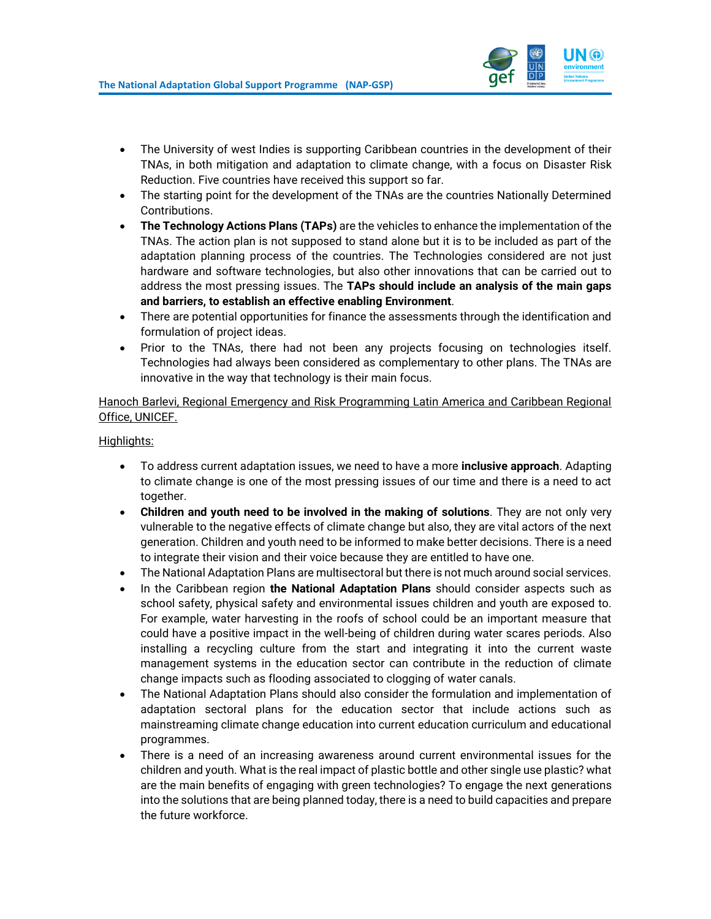

- The University of west Indies is supporting Caribbean countries in the development of their TNAs, in both mitigation and adaptation to climate change, with a focus on Disaster Risk Reduction. Five countries have received this support so far.
- The starting point for the development of the TNAs are the countries Nationally Determined Contributions.
- **The Technology Actions Plans (TAPs)** are the vehicles to enhance the implementation of the TNAs. The action plan is not supposed to stand alone but it is to be included as part of the adaptation planning process of the countries. The Technologies considered are not just hardware and software technologies, but also other innovations that can be carried out to address the most pressing issues. The **TAPs should include an analysis of the main gaps and barriers, to establish an effective enabling Environment**.
- There are potential opportunities for finance the assessments through the identification and formulation of project ideas.
- Prior to the TNAs, there had not been any projects focusing on technologies itself. Technologies had always been considered as complementary to other plans. The TNAs are innovative in the way that technology is their main focus.

Hanoch Barlevi, Regional Emergency and Risk Programming Latin America and Caribbean Regional Office, UNICEF.

#### Highlights:

- To address current adaptation issues, we need to have a more **inclusive approach**. Adapting to climate change is one of the most pressing issues of our time and there is a need to act together.
- **Children and youth need to be involved in the making of solutions**. They are not only very vulnerable to the negative effects of climate change but also, they are vital actors of the next generation. Children and youth need to be informed to make better decisions. There is a need to integrate their vision and their voice because they are entitled to have one.
- The National Adaptation Plans are multisectoral but there is not much around social services.
- In the Caribbean region **the National Adaptation Plans** should consider aspects such as school safety, physical safety and environmental issues children and youth are exposed to. For example, water harvesting in the roofs of school could be an important measure that could have a positive impact in the well-being of children during water scares periods. Also installing a recycling culture from the start and integrating it into the current waste management systems in the education sector can contribute in the reduction of climate change impacts such as flooding associated to clogging of water canals.
- The National Adaptation Plans should also consider the formulation and implementation of adaptation sectoral plans for the education sector that include actions such as mainstreaming climate change education into current education curriculum and educational programmes.
- There is a need of an increasing awareness around current environmental issues for the children and youth. What is the real impact of plastic bottle and other single use plastic? what are the main benefits of engaging with green technologies? To engage the next generations into the solutions that are being planned today, there is a need to build capacities and prepare the future workforce.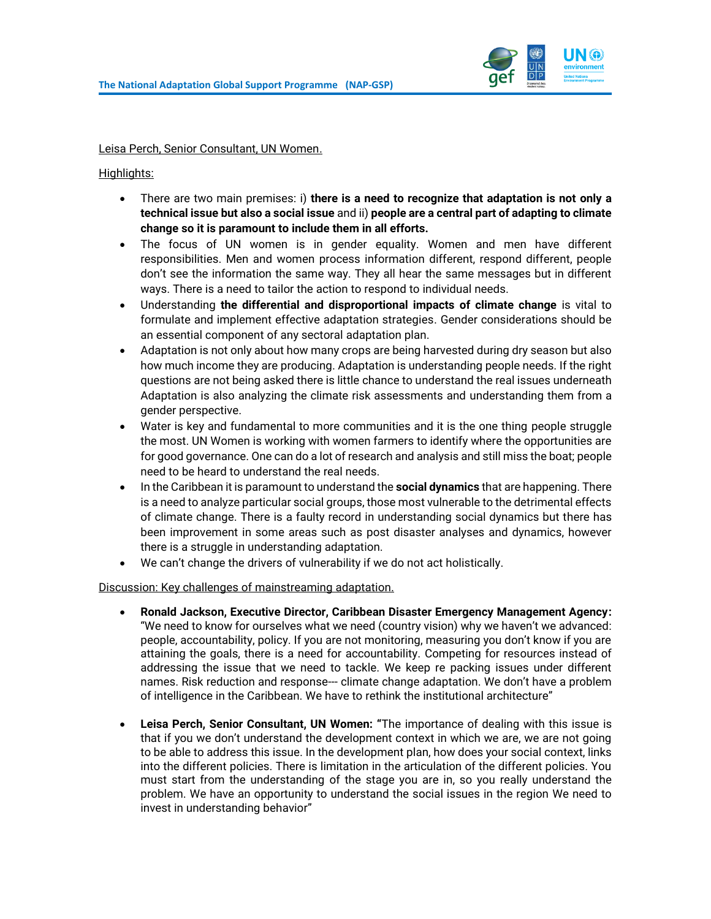

Leisa Perch, Senior Consultant, UN Women.

Highlights:

- There are two main premises: i) **there is a need to recognize that adaptation is not only a technical issue but also a social issue** and ii) **people are a central part of adapting to climate change so it is paramount to include them in all efforts.**
- The focus of UN women is in gender equality. Women and men have different responsibilities. Men and women process information different, respond different, people don't see the information the same way. They all hear the same messages but in different ways. There is a need to tailor the action to respond to individual needs.
- Understanding **the differential and disproportional impacts of climate change** is vital to formulate and implement effective adaptation strategies. Gender considerations should be an essential component of any sectoral adaptation plan.
- Adaptation is not only about how many crops are being harvested during dry season but also how much income they are producing. Adaptation is understanding people needs. If the right questions are not being asked there is little chance to understand the real issues underneath Adaptation is also analyzing the climate risk assessments and understanding them from a gender perspective.
- Water is key and fundamental to more communities and it is the one thing people struggle the most. UN Women is working with women farmers to identify where the opportunities are for good governance. One can do a lot of research and analysis and still miss the boat; people need to be heard to understand the real needs.
- In the Caribbean it is paramount to understand the **social dynamics** that are happening. There is a need to analyze particular social groups, those most vulnerable to the detrimental effects of climate change. There is a faulty record in understanding social dynamics but there has been improvement in some areas such as post disaster analyses and dynamics, however there is a struggle in understanding adaptation.
- We can't change the drivers of vulnerability if we do not act holistically.

Discussion: Key challenges of mainstreaming adaptation.

- **Ronald Jackson, Executive Director, Caribbean Disaster Emergency Management Agency:**  "We need to know for ourselves what we need (country vision) why we haven't we advanced: people, accountability, policy. If you are not monitoring, measuring you don't know if you are attaining the goals, there is a need for accountability. Competing for resources instead of addressing the issue that we need to tackle. We keep re packing issues under different names. Risk reduction and response--- climate change adaptation. We don't have a problem of intelligence in the Caribbean. We have to rethink the institutional architecture"
- **Leisa Perch, Senior Consultant, UN Women: "**The importance of dealing with this issue is that if you we don't understand the development context in which we are, we are not going to be able to address this issue. In the development plan, how does your social context, links into the different policies. There is limitation in the articulation of the different policies. You must start from the understanding of the stage you are in, so you really understand the problem. We have an opportunity to understand the social issues in the region We need to invest in understanding behavior"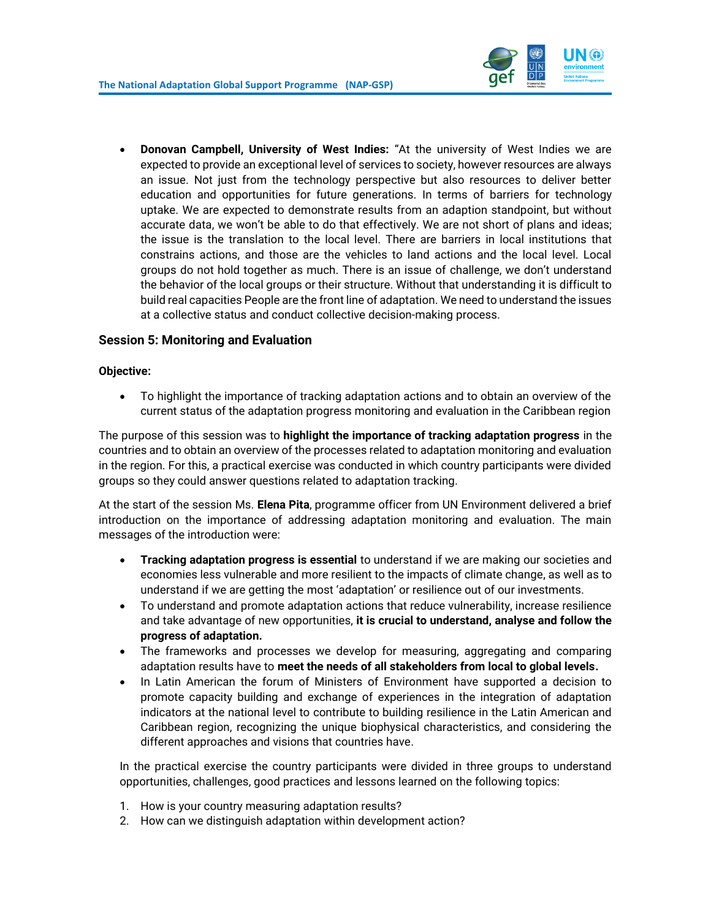

• **Donovan Campbell, University of West Indies:** "At the university of West Indies we are expected to provide an exceptional level of services to society, however resources are always an issue. Not just from the technology perspective but also resources to deliver better education and opportunities for future generations. In terms of barriers for technology uptake. We are expected to demonstrate results from an adaption standpoint, but without accurate data, we won't be able to do that effectively. We are not short of plans and ideas; the issue is the translation to the local level. There are barriers in local institutions that constrains actions, and those are the vehicles to land actions and the local level. Local groups do not hold together as much. There is an issue of challenge, we don't understand the behavior of the local groups or their structure. Without that understanding it is difficult to build real capacities People are the front line of adaptation. We need to understand the issues at a collective status and conduct collective decision-making process.

## <span id="page-17-0"></span>**Session 5: Monitoring and Evaluation**

#### **Objective:**

• To highlight the importance of tracking adaptation actions and to obtain an overview of the current status of the adaptation progress monitoring and evaluation in the Caribbean region

The purpose of this session was to **highlight the importance of tracking adaptation progress** in the countries and to obtain an overview of the processes related to adaptation monitoring and evaluation in the region. For this, a practical exercise was conducted in which country participants were divided groups so they could answer questions related to adaptation tracking.

At the start of the session Ms. **Elena Pita**, programme officer from UN Environment delivered a brief introduction on the importance of addressing adaptation monitoring and evaluation. The main messages of the introduction were:

- **Tracking adaptation progress is essential** to understand if we are making our societies and economies less vulnerable and more resilient to the impacts of climate change, as well as to understand if we are getting the most 'adaptation' or resilience out of our investments.
- To understand and promote adaptation actions that reduce vulnerability, increase resilience and take advantage of new opportunities, **it is crucial to understand, analyse and follow the progress of adaptation.**
- The frameworks and processes we develop for measuring, aggregating and comparing adaptation results have to **meet the needs of all stakeholders from local to global levels.**
- In Latin American the forum of Ministers of Environment have supported a decision to promote capacity building and exchange of experiences in the integration of adaptation indicators at the national level to contribute to building resilience in the Latin American and Caribbean region, recognizing the unique biophysical characteristics, and considering the different approaches and visions that countries have.

In the practical exercise the country participants were divided in three groups to understand opportunities, challenges, good practices and lessons learned on the following topics:

- 1. How is your country measuring adaptation results?
- 2. How can we distinguish adaptation within development action?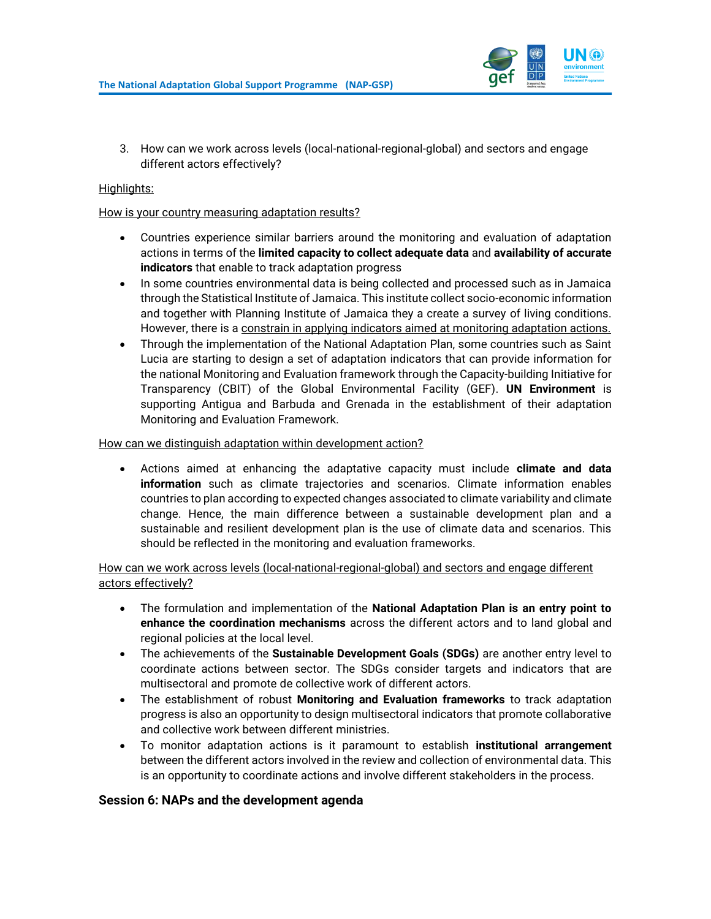

3. How can we work across levels (local-national-regional-global) and sectors and engage different actors effectively?

#### Highlights:

#### How is your country measuring adaptation results?

- Countries experience similar barriers around the monitoring and evaluation of adaptation actions in terms of the **limited capacity to collect adequate data** and **availability of accurate indicators** that enable to track adaptation progress
- In some countries environmental data is being collected and processed such as in Jamaica through the Statistical Institute of Jamaica. This institute collect socio-economic information and together with Planning Institute of Jamaica they a create a survey of living conditions. However, there is a constrain in applying indicators aimed at monitoring adaptation actions.
- Through the implementation of the National Adaptation Plan, some countries such as Saint Lucia are starting to design a set of adaptation indicators that can provide information for the national Monitoring and Evaluation framework through the Capacity-building Initiative for Transparency (CBIT) of the Global Environmental Facility (GEF). **UN Environment** is supporting Antigua and Barbuda and Grenada in the establishment of their adaptation Monitoring and Evaluation Framework.

#### How can we distinguish adaptation within development action?

• Actions aimed at enhancing the adaptative capacity must include **climate and data information** such as climate trajectories and scenarios. Climate information enables countries to plan according to expected changes associated to climate variability and climate change. Hence, the main difference between a sustainable development plan and a sustainable and resilient development plan is the use of climate data and scenarios. This should be reflected in the monitoring and evaluation frameworks.

How can we work across levels (local-national-regional-global) and sectors and engage different actors effectively?

- The formulation and implementation of the **National Adaptation Plan is an entry point to enhance the coordination mechanisms** across the different actors and to land global and regional policies at the local level.
- The achievements of the **Sustainable Development Goals (SDGs)** are another entry level to coordinate actions between sector. The SDGs consider targets and indicators that are multisectoral and promote de collective work of different actors.
- The establishment of robust **Monitoring and Evaluation frameworks** to track adaptation progress is also an opportunity to design multisectoral indicators that promote collaborative and collective work between different ministries.
- To monitor adaptation actions is it paramount to establish **institutional arrangement** between the different actors involved in the review and collection of environmental data. This is an opportunity to coordinate actions and involve different stakeholders in the process.

#### <span id="page-18-0"></span>**Session 6: NAPs and the development agenda**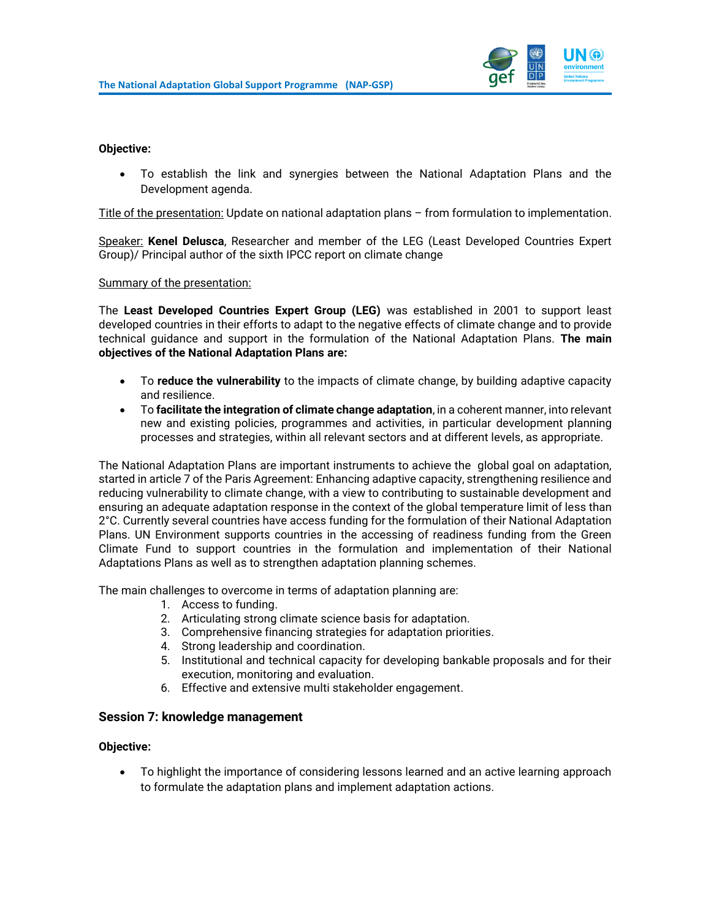

#### **Objective:**

• To establish the link and synergies between the National Adaptation Plans and the Development agenda.

Title of the presentation: Update on national adaptation plans – from formulation to implementation.

Speaker: **Kenel Delusca**, Researcher and member of the LEG (Least Developed Countries Expert Group)/ Principal author of the sixth IPCC report on climate change

Summary of the presentation:

The **Least Developed Countries Expert Group (LEG)** was established in 2001 to support least developed countries in their efforts to adapt to the negative effects of climate change and to provide technical guidance and support in the formulation of the National Adaptation Plans. **The main objectives of the National Adaptation Plans are:**

- To **reduce the vulnerability** to the impacts of climate change, by building adaptive capacity and resilience.
- To **facilitate the integration of climate change adaptation**, in a coherent manner, into relevant new and existing policies, programmes and activities, in particular development planning processes and strategies, within all relevant sectors and at different levels, as appropriate.

The National Adaptation Plans are important instruments to achieve the global goal on adaptation, started in article 7 of the Paris Agreement: Enhancing adaptive capacity, strengthening resilience and reducing vulnerability to climate change, with a view to contributing to sustainable development and ensuring an adequate adaptation response in the context of the global temperature limit of less than 2°C. Currently several countries have access funding for the formulation of their National Adaptation Plans. UN Environment supports countries in the accessing of readiness funding from the Green Climate Fund to support countries in the formulation and implementation of their National Adaptations Plans as well as to strengthen adaptation planning schemes.

The main challenges to overcome in terms of adaptation planning are:

- 1. Access to funding.
- 2. Articulating strong climate science basis for adaptation.
- 3. Comprehensive financing strategies for adaptation priorities.
- 4. Strong leadership and coordination.
- 5. Institutional and technical capacity for developing bankable proposals and for their execution, monitoring and evaluation.
- 6. Effective and extensive multi stakeholder engagement.

#### <span id="page-19-0"></span>**Session 7: knowledge management**

#### **Objective:**

• To highlight the importance of considering lessons learned and an active learning approach to formulate the adaptation plans and implement adaptation actions.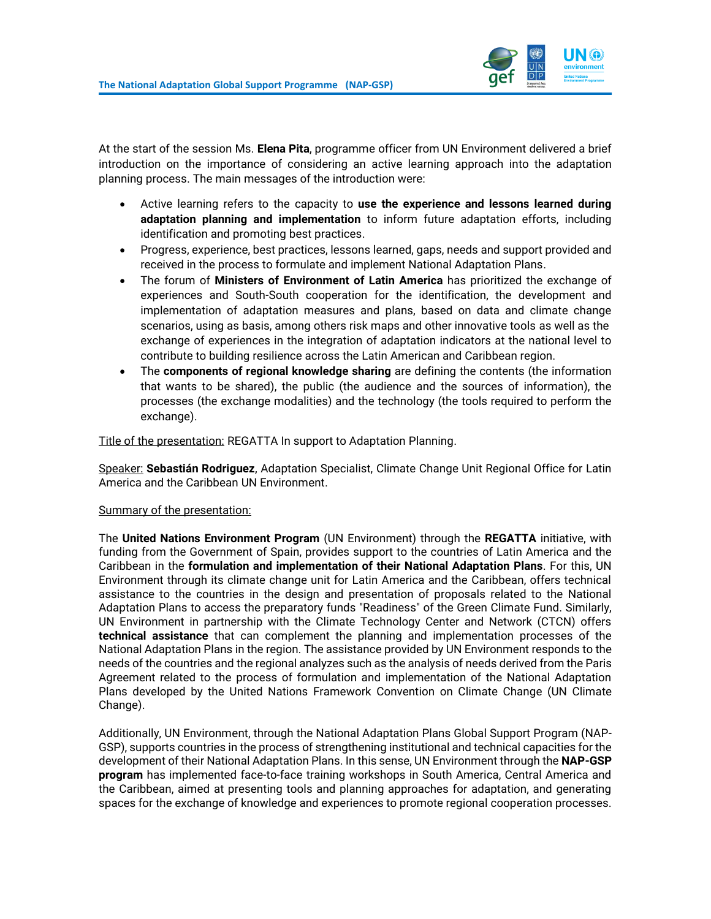

At the start of the session Ms. **Elena Pita**, programme officer from UN Environment delivered a brief introduction on the importance of considering an active learning approach into the adaptation planning process. The main messages of the introduction were:

- Active learning refers to the capacity to **use the experience and lessons learned during adaptation planning and implementation** to inform future adaptation efforts, including identification and promoting best practices.
- Progress, experience, best practices, lessons learned, gaps, needs and support provided and received in the process to formulate and implement National Adaptation Plans.
- The forum of **Ministers of Environment of Latin America** has prioritized the exchange of experiences and South-South cooperation for the identification, the development and implementation of adaptation measures and plans, based on data and climate change scenarios, using as basis, among others risk maps and other innovative tools as well as the exchange of experiences in the integration of adaptation indicators at the national level to contribute to building resilience across the Latin American and Caribbean region.
- The **components of regional knowledge sharing** are defining the contents (the information that wants to be shared), the public (the audience and the sources of information), the processes (the exchange modalities) and the technology (the tools required to perform the exchange).

Title of the presentation: REGATTA In support to Adaptation Planning.

Speaker: **Sebastián Rodriguez**, Adaptation Specialist, Climate Change Unit Regional Office for Latin America and the Caribbean UN Environment.

#### Summary of the presentation:

The **United Nations Environment Program** (UN Environment) through the **REGATTA** initiative, with funding from the Government of Spain, provides support to the countries of Latin America and the Caribbean in the **formulation and implementation of their National Adaptation Plans**. For this, UN Environment through its climate change unit for Latin America and the Caribbean, offers technical assistance to the countries in the design and presentation of proposals related to the National Adaptation Plans to access the preparatory funds "Readiness" of the Green Climate Fund. Similarly, UN Environment in partnership with the Climate Technology Center and Network (CTCN) offers **technical assistance** that can complement the planning and implementation processes of the National Adaptation Plans in the region. The assistance provided by UN Environment responds to the needs of the countries and the regional analyzes such as the analysis of needs derived from the Paris Agreement related to the process of formulation and implementation of the National Adaptation Plans developed by the United Nations Framework Convention on Climate Change (UN Climate Change).

Additionally, UN Environment, through the National Adaptation Plans Global Support Program (NAP-GSP), supports countries in the process of strengthening institutional and technical capacities for the development of their National Adaptation Plans. In this sense, UN Environment through the **NAP-GSP program** has implemented face-to-face training workshops in South America, Central America and the Caribbean, aimed at presenting tools and planning approaches for adaptation, and generating spaces for the exchange of knowledge and experiences to promote regional cooperation processes.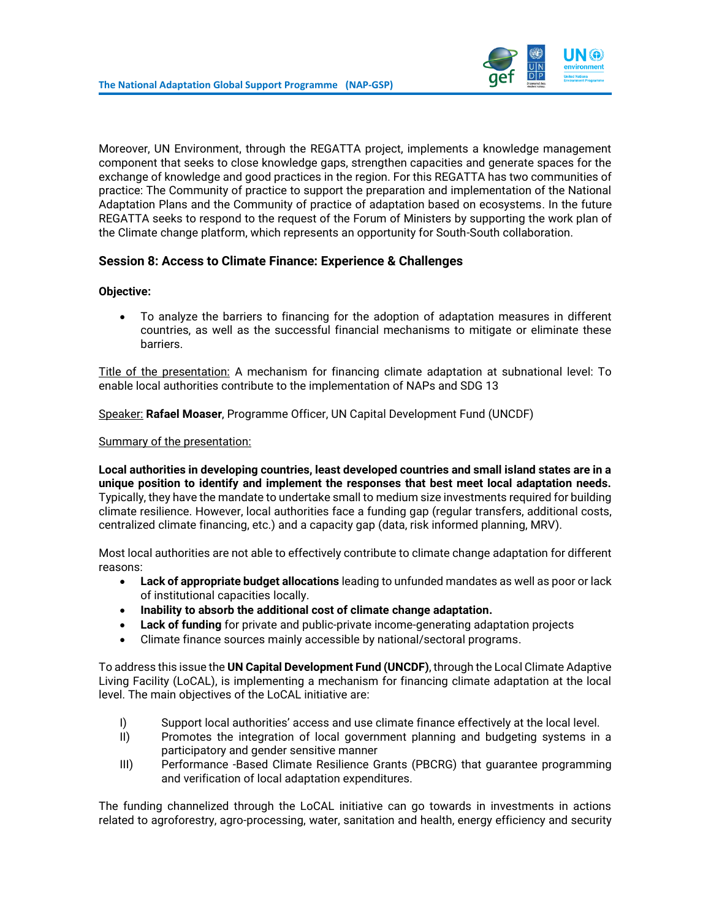

Moreover, UN Environment, through the REGATTA project, implements a knowledge management component that seeks to close knowledge gaps, strengthen capacities and generate spaces for the exchange of knowledge and good practices in the region. For this REGATTA has two communities of practice: The Community of practice to support the preparation and implementation of the National Adaptation Plans and the Community of practice of adaptation based on ecosystems. In the future REGATTA seeks to respond to the request of the Forum of Ministers by supporting the work plan of the Climate change platform, which represents an opportunity for South-South collaboration.

## <span id="page-21-0"></span>**Session 8: Access to Climate Finance: Experience & Challenges**

#### **Objective:**

• To analyze the barriers to financing for the adoption of adaptation measures in different countries, as well as the successful financial mechanisms to mitigate or eliminate these barriers.

Title of the presentation: A mechanism for financing climate adaptation at subnational level: To enable local authorities contribute to the implementation of NAPs and SDG 13

Speaker: **Rafael Moaser**, Programme Officer, UN Capital Development Fund (UNCDF)

#### Summary of the presentation:

**Local authorities in developing countries, least developed countries and small island states are in a unique position to identify and implement the responses that best meet local adaptation needs.**  Typically, they have the mandate to undertake small to medium size investments required for building climate resilience. However, local authorities face a funding gap (regular transfers, additional costs, centralized climate financing, etc.) and a capacity gap (data, risk informed planning, MRV).

Most local authorities are not able to effectively contribute to climate change adaptation for different reasons:

- **Lack of appropriate budget allocations** leading to unfunded mandates as well as poor or lack of institutional capacities locally.
- **Inability to absorb the additional cost of climate change adaptation.**
- Lack of funding for private and public-private income-generating adaptation projects
- Climate finance sources mainly accessible by national/sectoral programs.

To address this issue the **UN Capital Development Fund (UNCDF)**, through the Local Climate Adaptive Living Facility (LoCAL), is implementing a mechanism for financing climate adaptation at the local level. The main objectives of the LoCAL initiative are:

- I) Support local authorities' access and use climate finance effectively at the local level.
- II) Promotes the integration of local government planning and budgeting systems in a participatory and gender sensitive manner
- III) Performance -Based Climate Resilience Grants (PBCRG) that guarantee programming and verification of local adaptation expenditures.

The funding channelized through the LoCAL initiative can go towards in investments in actions related to agroforestry, agro-processing, water, sanitation and health, energy efficiency and security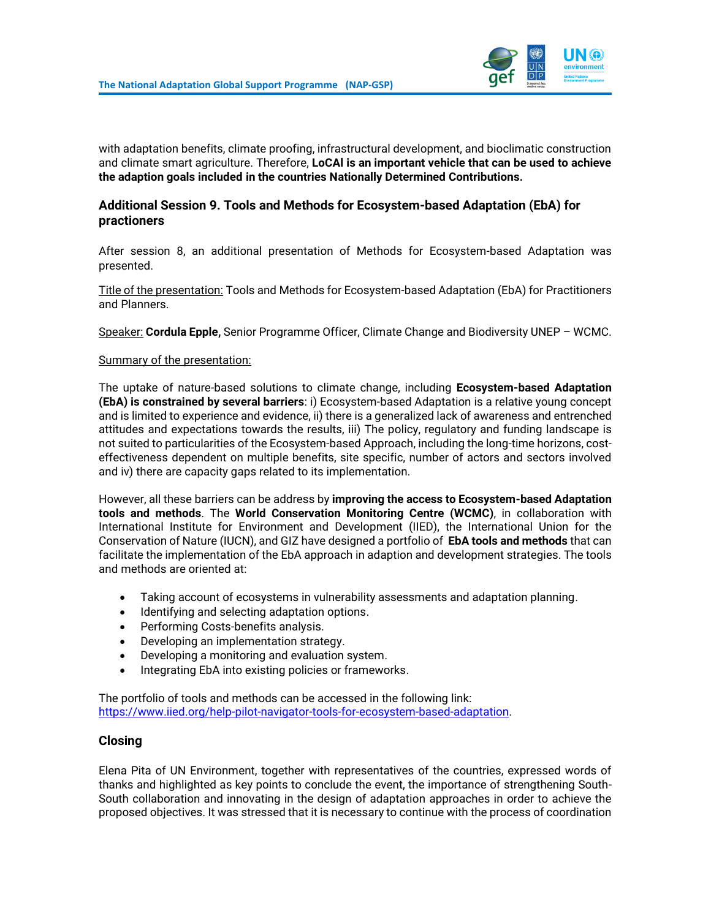

with adaptation benefits, climate proofing, infrastructural development, and bioclimatic construction and climate smart agriculture. Therefore, **LoCAl is an important vehicle that can be used to achieve the adaption goals included in the countries Nationally Determined Contributions.**

## <span id="page-22-0"></span>**Additional Session 9. Tools and Methods for Ecosystem-based Adaptation (EbA) for practioners**

After session 8, an additional presentation of Methods for Ecosystem-based Adaptation was presented.

Title of the presentation: Tools and Methods for Ecosystem-based Adaptation (EbA) for Practitioners and Planners.

Speaker: **Cordula Epple,** Senior Programme Officer, Climate Change and Biodiversity UNEP – WCMC.

#### Summary of the presentation:

The uptake of nature-based solutions to climate change, including **Ecosystem-based Adaptation (EbA) is constrained by several barriers**: i) Ecosystem-based Adaptation is a relative young concept and is limited to experience and evidence, ii) there is a generalized lack of awareness and entrenched attitudes and expectations towards the results, iii) The policy, regulatory and funding landscape is not suited to particularities of the Ecosystem-based Approach, including the long-time horizons, costeffectiveness dependent on multiple benefits, site specific, number of actors and sectors involved and iv) there are capacity gaps related to its implementation.

However, all these barriers can be address by **improving the access to Ecosystem-based Adaptation tools and methods**. The **World Conservation Monitoring Centre (WCMC)**, in collaboration with International Institute for Environment and Development (IIED), the International Union for the Conservation of Nature (IUCN), and GIZ have designed a portfolio of **EbA tools and methods** that can facilitate the implementation of the EbA approach in adaption and development strategies. The tools and methods are oriented at:

- Taking account of ecosystems in vulnerability assessments and adaptation planning.
- Identifying and selecting adaptation options.
- Performing Costs-benefits analysis.
- Developing an implementation strategy.
- Developing a monitoring and evaluation system.
- Integrating EbA into existing policies or frameworks.

The portfolio of tools and methods can be accessed in the following link: [https://www.iied.org/help-pilot-navigator-tools-for-ecosystem-based-adaptation.](https://www.iied.org/help-pilot-navigator-tools-for-ecosystem-based-adaptation)

#### <span id="page-22-1"></span>**Closing**

Elena Pita of UN Environment, together with representatives of the countries, expressed words of thanks and highlighted as key points to conclude the event, the importance of strengthening South-South collaboration and innovating in the design of adaptation approaches in order to achieve the proposed objectives. It was stressed that it is necessary to continue with the process of coordination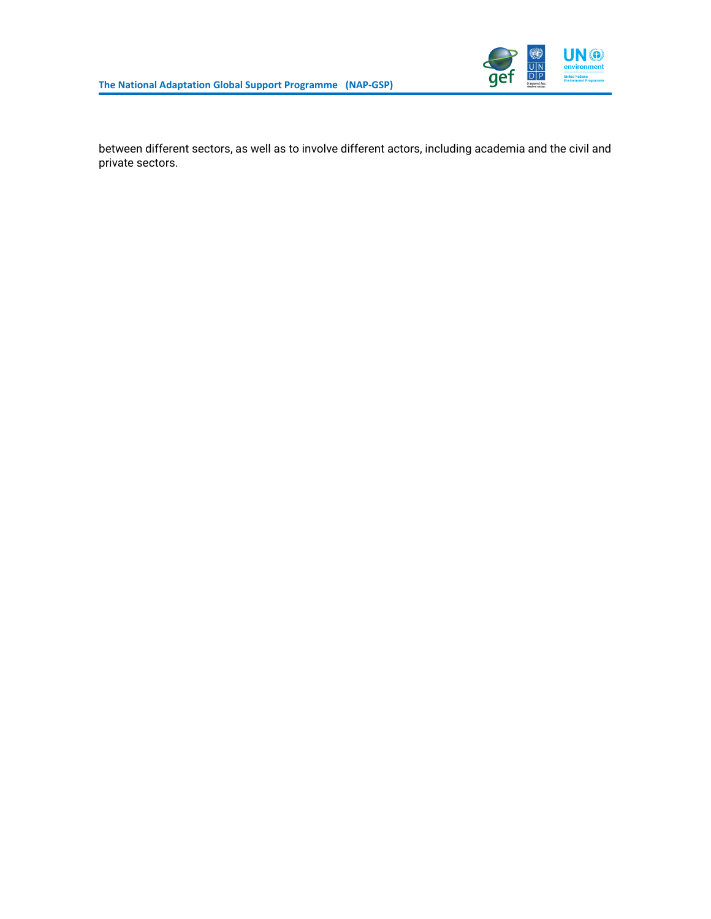

between different sectors, as well as to involve different actors, including academia and the civil and private sectors.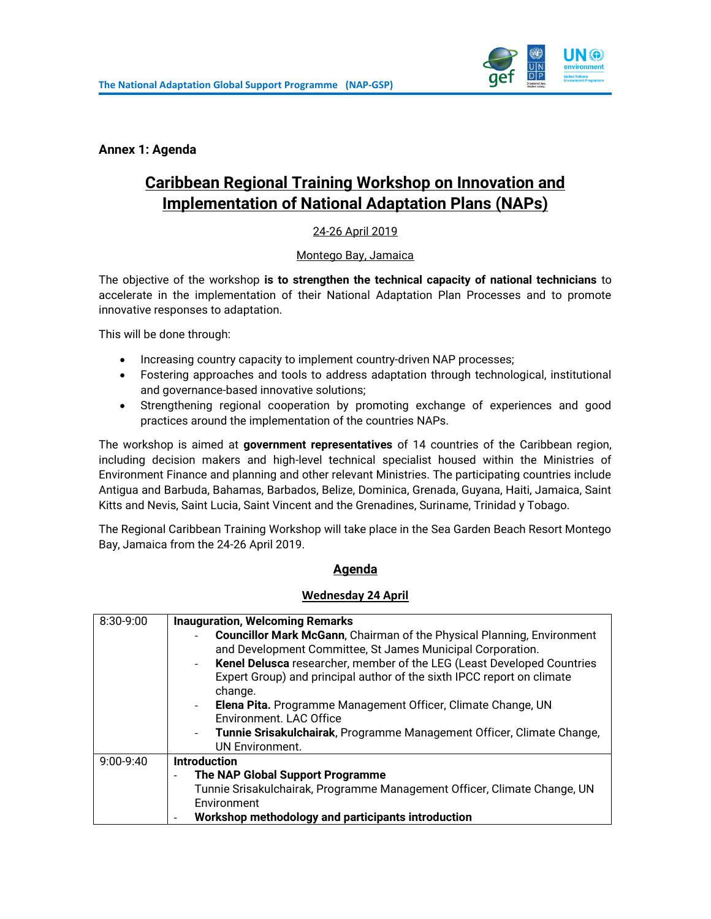

<span id="page-24-0"></span>**Annex 1: Agenda**

# **Caribbean Regional Training Workshop on Innovation and Implementation of National Adaptation Plans (NAPs)**

## 24-26 April 2019

#### Montego Bay, Jamaica

The objective of the workshop **is to strengthen the technical capacity of national technicians** to accelerate in the implementation of their National Adaptation Plan Processes and to promote innovative responses to adaptation.

This will be done through:

- Increasing country capacity to implement country-driven NAP processes;
- Fostering approaches and tools to address adaptation through technological, institutional and governance-based innovative solutions;
- Strengthening regional cooperation by promoting exchange of experiences and good practices around the implementation of the countries NAPs.

The workshop is aimed at **government representatives** of 14 countries of the Caribbean region, including decision makers and high-level technical specialist housed within the Ministries of Environment Finance and planning and other relevant Ministries. The participating countries include Antigua and Barbuda, Bahamas, Barbados, Belize, Dominica, Grenada, Guyana, Haiti, Jamaica, Saint Kitts and Nevis, Saint Lucia, Saint Vincent and the Grenadines, Suriname, Trinidad y Tobago.

The Regional Caribbean Training Workshop will take place in the Sea Garden Beach Resort Montego Bay, Jamaica from the 24-26 April 2019.

#### **Agenda**

#### **Wednesday 24 April**

| 8:30-9:00 | <b>Inauguration, Welcoming Remarks</b>                                                  |  |
|-----------|-----------------------------------------------------------------------------------------|--|
|           | <b>Councillor Mark McGann, Chairman of the Physical Planning, Environment</b>           |  |
|           | and Development Committee, St James Municipal Corporation.                              |  |
|           | Kenel Delusca researcher, member of the LEG (Least Developed Countries                  |  |
|           | Expert Group) and principal author of the sixth IPCC report on climate                  |  |
|           | change.                                                                                 |  |
|           | Elena Pita. Programme Management Officer, Climate Change, UN                            |  |
|           | Environment. LAC Office                                                                 |  |
|           | Tunnie Srisakulchairak, Programme Management Officer, Climate Change,<br>$\blacksquare$ |  |
|           | <b>UN Environment.</b>                                                                  |  |
| 9:00-9:40 | <b>Introduction</b>                                                                     |  |
|           | The NAP Global Support Programme<br>$\overline{\phantom{0}}$                            |  |
|           | Tunnie Srisakulchairak, Programme Management Officer, Climate Change, UN                |  |
|           | Environment                                                                             |  |
|           | Workshop methodology and participants introduction                                      |  |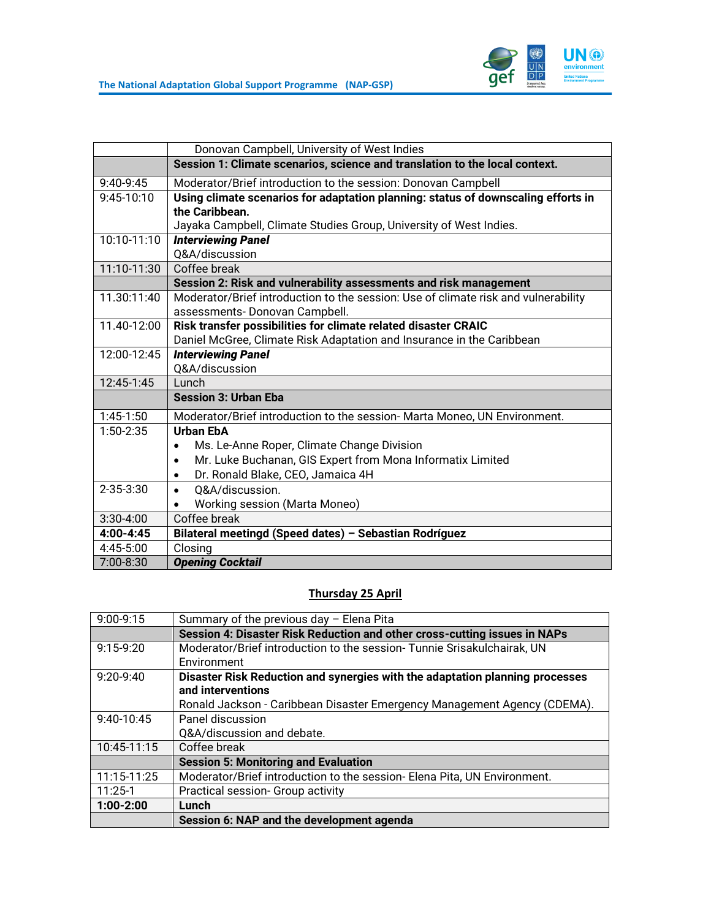

|                 | Donovan Campbell, University of West Indies                                        |  |
|-----------------|------------------------------------------------------------------------------------|--|
|                 | Session 1: Climate scenarios, science and translation to the local context.        |  |
| 9:40-9:45       | Moderator/Brief introduction to the session: Donovan Campbell                      |  |
| 9:45-10:10      | Using climate scenarios for adaptation planning: status of downscaling efforts in  |  |
|                 | the Caribbean.                                                                     |  |
|                 | Jayaka Campbell, Climate Studies Group, University of West Indies.                 |  |
| 10:10-11:10     | <b>Interviewing Panel</b>                                                          |  |
|                 | Q&A/discussion                                                                     |  |
| 11:10-11:30     | Coffee break                                                                       |  |
|                 | Session 2: Risk and vulnerability assessments and risk management                  |  |
| 11.30:11:40     | Moderator/Brief introduction to the session: Use of climate risk and vulnerability |  |
|                 | assessments-Donovan Campbell.                                                      |  |
| 11.40-12:00     | Risk transfer possibilities for climate related disaster CRAIC                     |  |
|                 | Daniel McGree, Climate Risk Adaptation and Insurance in the Caribbean              |  |
| 12:00-12:45     | <b>Interviewing Panel</b>                                                          |  |
|                 | Q&A/discussion                                                                     |  |
| 12:45-1:45      | Lunch                                                                              |  |
|                 | <b>Session 3: Urban Eba</b>                                                        |  |
| $1:45-1:50$     | Moderator/Brief introduction to the session- Marta Moneo, UN Environment.          |  |
| 1:50-2:35       | <b>Urban EbA</b>                                                                   |  |
|                 | Ms. Le-Anne Roper, Climate Change Division<br>$\bullet$                            |  |
|                 | Mr. Luke Buchanan, GIS Expert from Mona Informatix Limited<br>$\bullet$            |  |
|                 | Dr. Ronald Blake, CEO, Jamaica 4H<br>$\bullet$                                     |  |
| $2 - 35 - 3:30$ | Q&A/discussion.<br>$\bullet$                                                       |  |
|                 | Working session (Marta Moneo)<br>$\bullet$                                         |  |
| $3:30-4:00$     | Coffee break                                                                       |  |
| $4:00 - 4:45$   | Bilateral meetingd (Speed dates) - Sebastian Rodríguez                             |  |
| $4:45-5:00$     | Closing                                                                            |  |
| 7:00-8:30       | <b>Opening Cocktail</b>                                                            |  |

# **Thursday 25 April**

| $9:00-9:15$ | Summary of the previous day - Elena Pita                                     |  |
|-------------|------------------------------------------------------------------------------|--|
|             | Session 4: Disaster Risk Reduction and other cross-cutting issues in NAPs    |  |
| $9:15-9:20$ | Moderator/Brief introduction to the session-Tunnie Srisakulchairak, UN       |  |
|             | Environment                                                                  |  |
| $9:20-9:40$ | Disaster Risk Reduction and synergies with the adaptation planning processes |  |
|             | and interventions                                                            |  |
|             | Ronald Jackson - Caribbean Disaster Emergency Management Agency (CDEMA).     |  |
| 9:40-10:45  | Panel discussion                                                             |  |
|             | Q&A/discussion and debate.                                                   |  |
| 10:45-11:15 | Coffee break                                                                 |  |
|             | <b>Session 5: Monitoring and Evaluation</b>                                  |  |
| 11:15-11:25 | Moderator/Brief introduction to the session-Elena Pita, UN Environment.      |  |
| $11:25-1$   | Practical session- Group activity                                            |  |
| $1:00-2:00$ | Lunch                                                                        |  |
|             | Session 6: NAP and the development agenda                                    |  |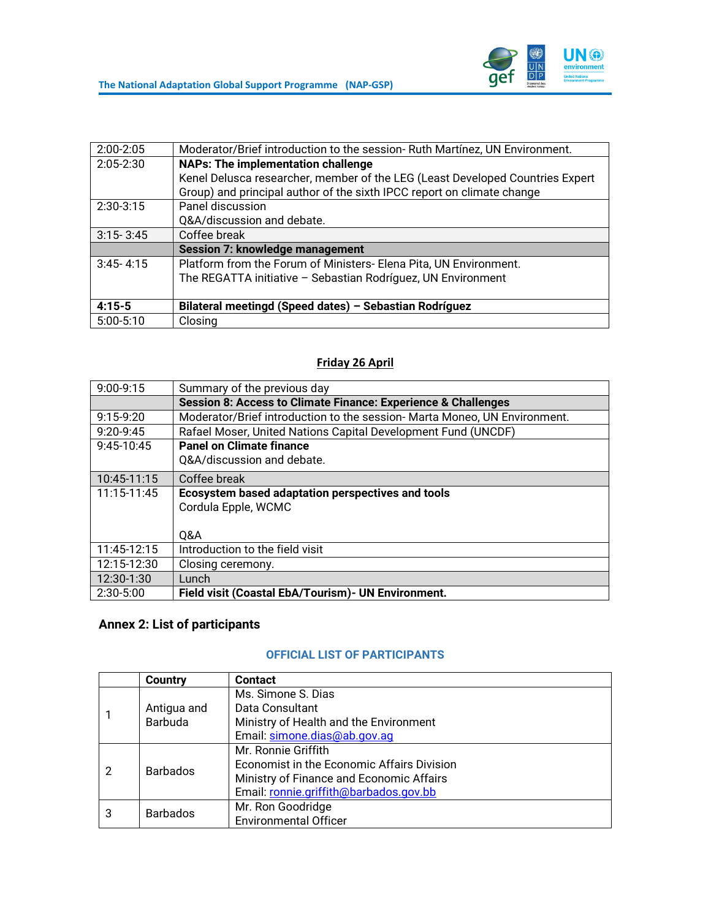

| $2:00 - 2:05$ | Moderator/Brief introduction to the session-Ruth Martínez, UN Environment.    |  |  |
|---------------|-------------------------------------------------------------------------------|--|--|
| $2:05 - 2:30$ | <b>NAPs: The implementation challenge</b>                                     |  |  |
|               | Kenel Delusca researcher, member of the LEG (Least Developed Countries Expert |  |  |
|               | Group) and principal author of the sixth IPCC report on climate change        |  |  |
| $2:30-3:15$   | Panel discussion                                                              |  |  |
|               | Q&A/discussion and debate.                                                    |  |  |
| $3:15 - 3:45$ | Coffee break                                                                  |  |  |
|               | <b>Session 7: knowledge management</b>                                        |  |  |
| $3:45 - 4:15$ | Platform from the Forum of Ministers- Elena Pita, UN Environment.             |  |  |
|               | The REGATTA initiative - Sebastian Rodríguez, UN Environment                  |  |  |
|               |                                                                               |  |  |
| $4:15-5$      | Bilateral meetingd (Speed dates) - Sebastian Rodríguez                        |  |  |
| $5:00-5:10$   | Closing                                                                       |  |  |

# **Friday 26 April**

| $9:00-9:15$   | Summary of the previous day                                               |  |
|---------------|---------------------------------------------------------------------------|--|
|               | Session 8: Access to Climate Finance: Experience & Challenges             |  |
| $9:15-9:20$   | Moderator/Brief introduction to the session- Marta Moneo, UN Environment. |  |
| $9:20 - 9:45$ | Rafael Moser, United Nations Capital Development Fund (UNCDF)             |  |
| $9:45-10:45$  | <b>Panel on Climate finance</b>                                           |  |
|               | Q&A/discussion and debate.                                                |  |
| 10:45-11:15   | Coffee break                                                              |  |
| 11:15-11:45   | Ecosystem based adaptation perspectives and tools                         |  |
|               | Cordula Epple, WCMC                                                       |  |
|               |                                                                           |  |
|               | 0&A                                                                       |  |
| 11:45-12:15   | Introduction to the field visit                                           |  |
| 12:15-12:30   | Closing ceremony.                                                         |  |
| 12:30-1:30    | Lunch                                                                     |  |
| 2:30-5:00     | Field visit (Coastal EbA/Tourism) - UN Environment.                       |  |

# <span id="page-26-0"></span>**Annex 2: List of participants**

# **OFFICIAL LIST OF PARTICIPANTS**

|   | Country         | <b>Contact</b>                             |
|---|-----------------|--------------------------------------------|
|   |                 | Ms. Simone S. Dias                         |
|   | Antigua and     | Data Consultant                            |
|   | Barbuda         | Ministry of Health and the Environment     |
|   |                 | Email: simone.dias@ab.gov.ag               |
| 2 | <b>Barbados</b> | Mr. Ronnie Griffith                        |
|   |                 | Economist in the Economic Affairs Division |
|   |                 | Ministry of Finance and Economic Affairs   |
|   |                 | Email: ronnie.griffith@barbados.gov.bb     |
| 3 | <b>Barbados</b> | Mr. Ron Goodridge                          |
|   |                 | <b>Environmental Officer</b>               |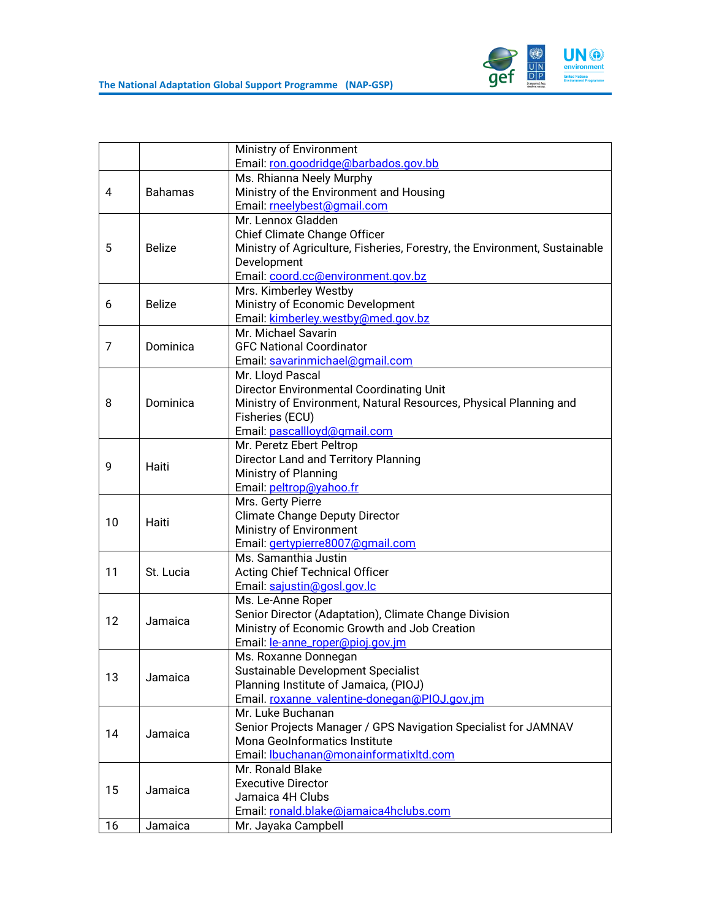

|    |                | Ministry of Environment                                                    |
|----|----------------|----------------------------------------------------------------------------|
|    |                | Email: ron.goodridge@barbados.gov.bb                                       |
|    |                | Ms. Rhianna Neely Murphy                                                   |
| 4  | <b>Bahamas</b> | Ministry of the Environment and Housing                                    |
|    |                | Email: meelybest@gmail.com                                                 |
|    |                | Mr. Lennox Gladden                                                         |
|    |                | Chief Climate Change Officer                                               |
| 5  | <b>Belize</b>  | Ministry of Agriculture, Fisheries, Forestry, the Environment, Sustainable |
|    |                | Development                                                                |
|    |                | Email: coord.cc@environment.gov.bz                                         |
|    |                | Mrs. Kimberley Westby                                                      |
| 6  | <b>Belize</b>  | Ministry of Economic Development                                           |
|    |                | Email: kimberley.westby@med.gov.bz                                         |
|    |                | Mr. Michael Savarin                                                        |
| 7  | Dominica       | <b>GFC National Coordinator</b>                                            |
|    |                |                                                                            |
|    |                | Email: savarinmichael@gmail.com                                            |
|    |                | Mr. Lloyd Pascal                                                           |
|    |                | Director Environmental Coordinating Unit                                   |
| 8  | Dominica       | Ministry of Environment, Natural Resources, Physical Planning and          |
|    |                | Fisheries (ECU)                                                            |
|    |                | Email: pascallloyd@gmail.com                                               |
|    |                | Mr. Peretz Ebert Peltrop                                                   |
| 9  | Haiti          | Director Land and Territory Planning                                       |
|    |                | Ministry of Planning                                                       |
|    |                | Email: peltrop@yahoo.fr                                                    |
|    | Haiti          | Mrs. Gerty Pierre                                                          |
| 10 |                | <b>Climate Change Deputy Director</b>                                      |
|    |                | Ministry of Environment                                                    |
|    |                | Email: gertypierre8007@gmail.com                                           |
|    | St. Lucia      | Ms. Samanthia Justin                                                       |
| 11 |                | <b>Acting Chief Technical Officer</b>                                      |
|    |                | Email: sajustin@gosl.gov.lc                                                |
|    |                | Ms. Le-Anne Roper                                                          |
| 12 | Jamaica        | Senior Director (Adaptation), Climate Change Division                      |
|    |                | Ministry of Economic Growth and Job Creation                               |
|    |                | Email: le-anne_roper@pioj.gov.jm                                           |
|    |                | Ms. Roxanne Donnegan                                                       |
| 13 | Jamaica        | Sustainable Development Specialist                                         |
|    |                | Planning Institute of Jamaica, (PIOJ)                                      |
|    |                | Email. roxanne_valentine-donegan@PIOJ.gov.jm                               |
|    |                | Mr. Luke Buchanan                                                          |
| 14 | Jamaica        | Senior Projects Manager / GPS Navigation Specialist for JAMNAV             |
|    |                | Mona GeoInformatics Institute                                              |
|    |                | Email: Ibuchanan@monainformatixltd.com                                     |
|    |                | Mr. Ronald Blake                                                           |
| 15 | Jamaica        | <b>Executive Director</b>                                                  |
|    |                | Jamaica 4H Clubs                                                           |
|    |                | Email: ronald.blake@jamaica4hclubs.com                                     |
| 16 | Jamaica        | Mr. Jayaka Campbell                                                        |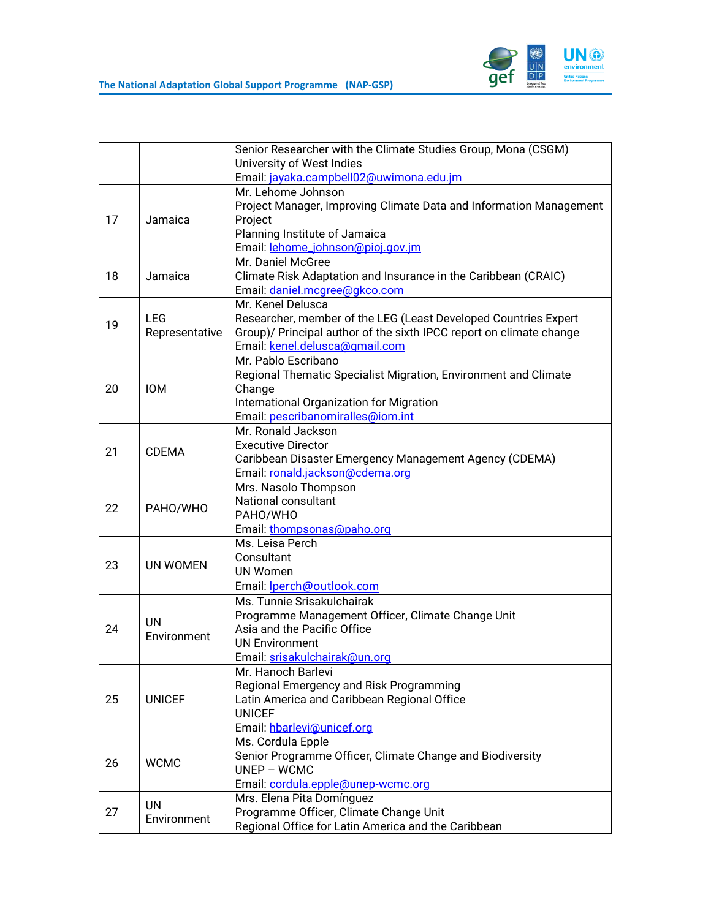

|    |                          | Senior Researcher with the Climate Studies Group, Mona (CSGM)       |
|----|--------------------------|---------------------------------------------------------------------|
|    |                          | University of West Indies                                           |
|    |                          | Email: jayaka.campbell02@uwimona.edu.jm                             |
|    |                          | Mr. Lehome Johnson                                                  |
|    |                          | Project Manager, Improving Climate Data and Information Management  |
| 17 | Jamaica                  | Project                                                             |
|    |                          | Planning Institute of Jamaica                                       |
|    |                          | Email: lehome_johnson@pioj.gov.jm                                   |
|    |                          | Mr. Daniel McGree                                                   |
| 18 | Jamaica                  | Climate Risk Adaptation and Insurance in the Caribbean (CRAIC)      |
|    |                          | Email: daniel.mcgree@gkco.com                                       |
|    |                          | Mr. Kenel Delusca                                                   |
|    | <b>LEG</b>               | Researcher, member of the LEG (Least Developed Countries Expert     |
| 19 | Representative           | Group)/ Principal author of the sixth IPCC report on climate change |
|    |                          | Email: kenel.delusca@gmail.com                                      |
|    |                          | Mr. Pablo Escribano                                                 |
|    |                          | Regional Thematic Specialist Migration, Environment and Climate     |
| 20 | <b>IOM</b>               | Change                                                              |
|    |                          | International Organization for Migration                            |
|    |                          | Email: pescribanomiralles@iom.int                                   |
|    |                          | Mr. Ronald Jackson                                                  |
| 21 | <b>CDEMA</b>             | <b>Executive Director</b>                                           |
|    |                          | Caribbean Disaster Emergency Management Agency (CDEMA)              |
|    |                          | Email: ronald.jackson@cdema.org                                     |
|    |                          | Mrs. Nasolo Thompson                                                |
| 22 | PAHO/WHO                 | National consultant                                                 |
|    |                          | PAHO/WHO                                                            |
|    |                          | Email: thompsonas@paho.org                                          |
|    |                          | Ms. Leisa Perch                                                     |
| 23 | UN WOMEN                 | Consultant                                                          |
|    |                          | <b>UN Women</b>                                                     |
|    |                          | Email: lperch@outlook.com                                           |
|    |                          | Ms. Tunnie Srisakulchairak                                          |
|    | <b>UN</b><br>Environment | Programme Management Officer, Climate Change Unit                   |
| 24 |                          | Asia and the Pacific Office                                         |
|    |                          | <b>UN Environment</b>                                               |
|    |                          | Email: srisakulchairak@un.org                                       |
|    |                          | Mr. Hanoch Barlevi                                                  |
|    | <b>UNICEF</b>            | Regional Emergency and Risk Programming                             |
| 25 |                          | Latin America and Caribbean Regional Office                         |
|    |                          | <b>UNICEF</b>                                                       |
|    |                          | Email: hbarlevi@unicef.org                                          |
|    |                          | Ms. Cordula Epple                                                   |
| 26 | <b>WCMC</b>              | Senior Programme Officer, Climate Change and Biodiversity           |
|    |                          | $UNEP - WCMC$                                                       |
|    |                          | Email: cordula.epple@unep-wcmc.org                                  |
|    | UN                       | Mrs. Elena Pita Domínguez                                           |
| 27 | Environment              | Programme Officer, Climate Change Unit                              |
|    |                          | Regional Office for Latin America and the Caribbean                 |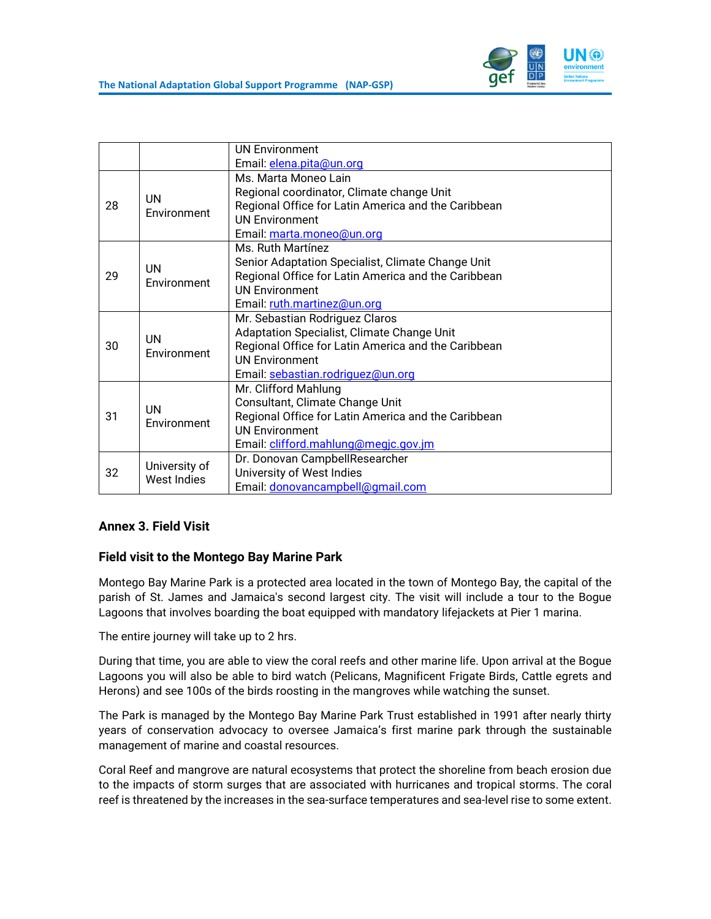

|    |                              | <b>UN Environment</b>                               |
|----|------------------------------|-----------------------------------------------------|
|    |                              | Email: elena.pita@un.org                            |
| 28 |                              | Ms. Marta Moneo Lain                                |
|    | <b>UN</b><br>Environment     | Regional coordinator, Climate change Unit           |
|    |                              | Regional Office for Latin America and the Caribbean |
|    |                              | <b>UN Environment</b>                               |
|    |                              | Email: marta.moneo@un.org                           |
|    |                              | Ms. Ruth Martínez                                   |
|    | <b>UN</b>                    | Senior Adaptation Specialist, Climate Change Unit   |
| 29 | Environment                  | Regional Office for Latin America and the Caribbean |
|    |                              | <b>UN Environment</b>                               |
|    |                              | Email: ruth.martinez@un.org                         |
|    |                              | Mr. Sebastian Rodriguez Claros                      |
|    | <b>UN</b>                    | Adaptation Specialist, Climate Change Unit          |
| 30 | Environment                  | Regional Office for Latin America and the Caribbean |
|    |                              | <b>UN Environment</b>                               |
|    |                              | Email: sebastian.rodriquez@un.org                   |
|    | UN<br>Environment            | Mr. Clifford Mahlung                                |
|    |                              | Consultant, Climate Change Unit                     |
| 31 |                              | Regional Office for Latin America and the Caribbean |
|    |                              | <b>UN Environment</b>                               |
|    |                              | Email: clifford.mahlung@megic.gov.jm                |
|    | University of<br>West Indies | Dr. Donovan CampbellResearcher                      |
| 32 |                              | University of West Indies                           |
|    |                              | Email: donovancampbell@qmail.com                    |

# <span id="page-29-0"></span>**Annex 3. Field Visit**

#### **Field visit to the Montego Bay Marine Park**

Montego Bay Marine Park is a protected area located in the town of Montego Bay, the capital of the parish of St. James and Jamaica's second largest city. The visit will include a tour to the Bogue Lagoons that involves boarding the boat equipped with mandatory lifejackets at Pier 1 marina.

The entire journey will take up to 2 hrs.

During that time, you are able to view the coral reefs and other marine life. Upon arrival at the Bogue Lagoons you will also be able to bird watch (Pelicans, Magnificent Frigate Birds, Cattle egrets and Herons) and see 100s of the birds roosting in the mangroves while watching the sunset.

The Park is managed by the Montego Bay Marine Park Trust established in 1991 after nearly thirty years of conservation advocacy to oversee Jamaica's first marine park through the sustainable management of marine and coastal resources.

Coral Reef and mangrove are natural ecosystems that protect the shoreline from beach erosion due to the impacts of storm surges that are associated with hurricanes and tropical storms. The coral reef is threatened by the increases in the sea-surface temperatures and sea-level rise to some extent.